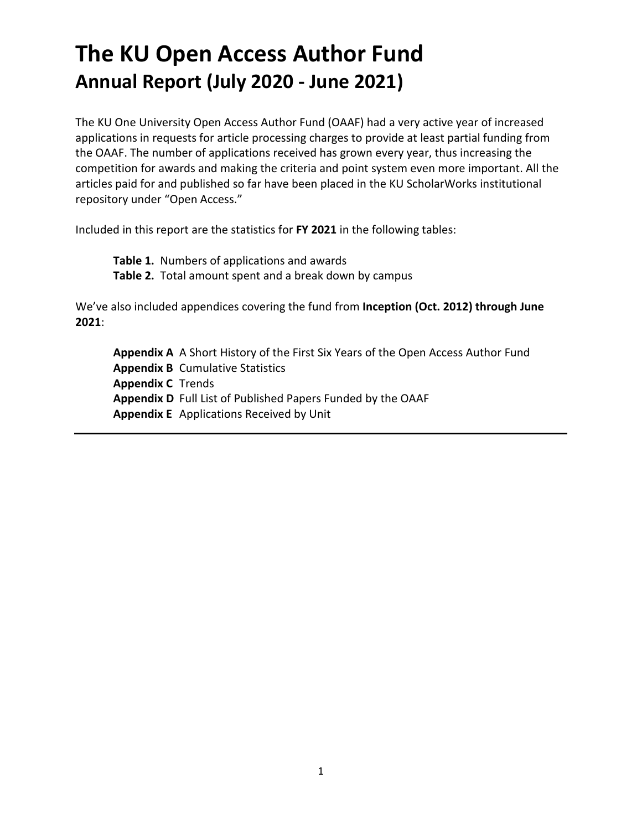# **The KU Open Access Author Fund Annual Report (July 2020 - June 2021)**

The KU One University Open Access Author Fund (OAAF) had a very active year of increased applications in requests for article processing charges to provide at least partial funding from the OAAF. The number of applications received has grown every year, thus increasing the competition for awards and making the criteria and point system even more important. All the articles paid for and published so far have been placed in the KU ScholarWorks institutional repository under "Open Access."

Included in this report are the statistics for **FY 2021** in the following tables:

**Table 1.** Numbers of applications and awards **Table 2.** Total amount spent and a break down by campus

We've also included appendices covering the fund from **Inception (Oct. 2012) through June 2021**:

**Appendix A** A Short History of the First Six Years of the Open Access Author Fund **Appendix B** Cumulative Statistics **Appendix C** Trends **Appendix D** Full List of Published Papers Funded by the OAAF **Appendix E** Applications Received by Unit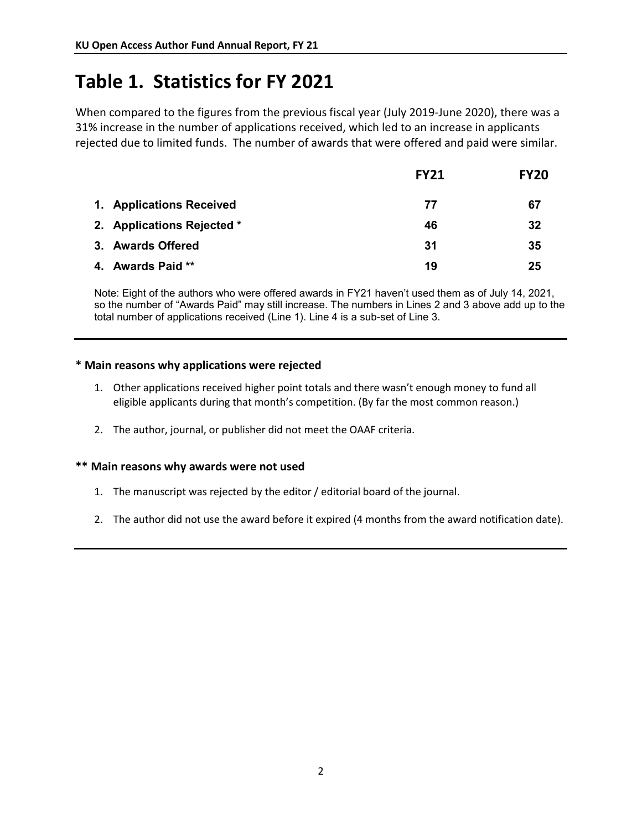## **Table 1. Statistics for FY 2021**

When compared to the figures from the previous fiscal year (July 2019-June 2020), there was a 31% increase in the number of applications received, which led to an increase in applicants rejected due to limited funds. The number of awards that were offered and paid were similar.

|                            | <b>FY21</b> | <b>FY20</b> |
|----------------------------|-------------|-------------|
| 1. Applications Received   | 77          | 67          |
| 2. Applications Rejected * | 46          | 32          |
| 3. Awards Offered          | 31          | 35          |
| 4. Awards Paid **          | 19          | 25          |

Note: Eight of the authors who were offered awards in FY21 haven't used them as of July 14, 2021, so the number of "Awards Paid" may still increase. The numbers in Lines 2 and 3 above add up to the total number of applications received (Line 1). Line 4 is a sub-set of Line 3.

### **\* Main reasons why applications were rejected**

- 1. Other applications received higher point totals and there wasn't enough money to fund all eligible applicants during that month's competition. (By far the most common reason.)
- 2. The author, journal, or publisher did not meet the OAAF criteria.

### **\*\* Main reasons why awards were not used**

- 1. The manuscript was rejected by the editor / editorial board of the journal.
- 2. The author did not use the award before it expired (4 months from the award notification date).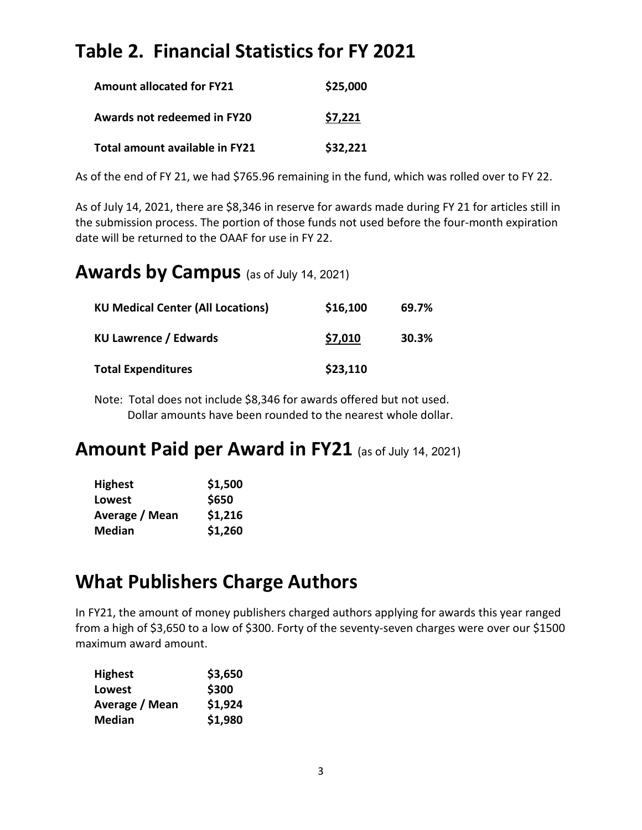## **Table 2. Financial Statistics for FY 2021**

| <b>Amount allocated for FY21</b> | \$25,000 |
|----------------------------------|----------|
| Awards not redeemed in FY20      | \$7,221  |
| Total amount available in FY21   | \$32,221 |

As of the end of FY 21, we had \$765.96 remaining in the fund, which was rolled over to FY 22.

As of July 14, 2021, there are \$8,346 in reserve for awards made during FY 21 for articles still in the submission process. The portion of those funds not used before the four-month expiration date will be returned to the OAAF for use in FY 22.

## **Awards by Campus** (as of July 14, 2021)

| <b>KU Medical Center (All Locations)</b> | \$16,100 | 69.7% |
|------------------------------------------|----------|-------|
| <b>KU Lawrence / Edwards</b>             | \$7,010  | 30.3% |
| <b>Total Expenditures</b>                | \$23,110 |       |

Note: Total does not include \$8,346 for awards offered but not used. Dollar amounts have been rounded to the nearest whole dollar.

## **Amount Paid per Award in FY21** (as of July 14, 2021)

| <b>Highest</b> | \$1,500 |
|----------------|---------|
| Lowest         | \$650   |
| Average / Mean | \$1,216 |
| <b>Median</b>  | \$1,260 |

## **What Publishers Charge Authors**

In FY21, the amount of money publishers charged authors applying for awards this year ranged from a high of \$3,650 to a low of \$300. Forty of the seventy-seven charges were over our \$1500 maximum award amount.

| <b>Highest</b> | \$3,650 |
|----------------|---------|
| Lowest         | \$300   |
| Average / Mean | \$1,924 |
| <b>Median</b>  | \$1,980 |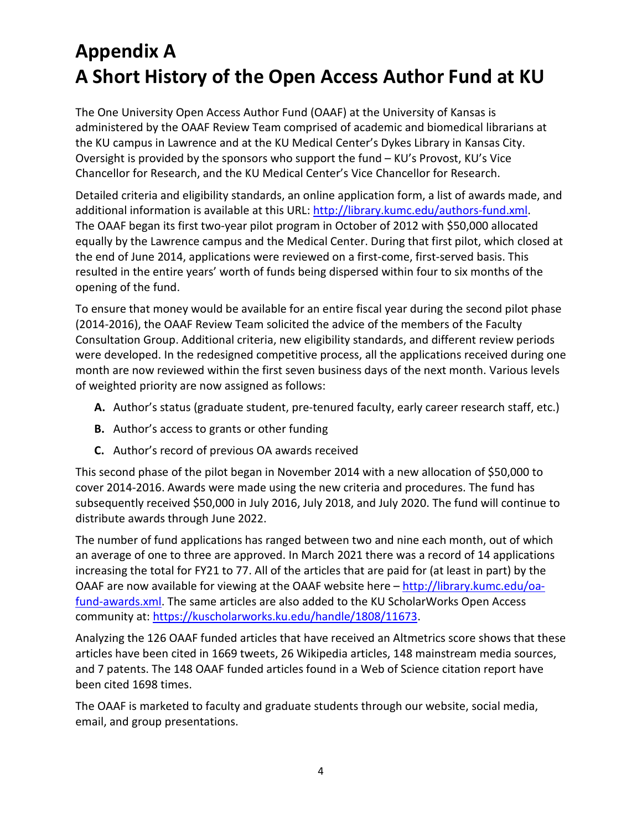# **Appendix A A Short History of the Open Access Author Fund at KU**

The One University Open Access Author Fund (OAAF) at the University of Kansas is administered by the OAAF Review Team comprised of academic and biomedical librarians at the KU campus in Lawrence and at the KU Medical Center's Dykes Library in Kansas City. Oversight is provided by the sponsors who support the fund – KU's Provost, KU's Vice Chancellor for Research, and the KU Medical Center's Vice Chancellor for Research.

Detailed criteria and eligibility standards, an online application form, a list of awards made, and additional information is available at this URL[: http://library.kumc.edu/authors-fund.xml.](http://library.kumc.edu/authors-fund.xml) The OAAF began its first two-year pilot program in October of 2012 with \$50,000 allocated equally by the Lawrence campus and the Medical Center. During that first pilot, which closed at the end of June 2014, applications were reviewed on a first-come, first-served basis. This resulted in the entire years' worth of funds being dispersed within four to six months of the opening of the fund.

To ensure that money would be available for an entire fiscal year during the second pilot phase (2014-2016), the OAAF Review Team solicited the advice of the members of the Faculty Consultation Group. Additional criteria, new eligibility standards, and different review periods were developed. In the redesigned competitive process, all the applications received during one month are now reviewed within the first seven business days of the next month. Various levels of weighted priority are now assigned as follows:

- **A.** Author's status (graduate student, pre-tenured faculty, early career research staff, etc.)
- **B.** Author's access to grants or other funding
- **C.** Author's record of previous OA awards received

This second phase of the pilot began in November 2014 with a new allocation of \$50,000 to cover 2014-2016. Awards were made using the new criteria and procedures. The fund has subsequently received \$50,000 in July 2016, July 2018, and July 2020. The fund will continue to distribute awards through June 2022.

The number of fund applications has ranged between two and nine each month, out of which an average of one to three are approved. In March 2021 there was a record of 14 applications increasing the total for FY21 to 77. All of the articles that are paid for (at least in part) by the OAAF are now available for viewing at the OAAF website here – [http://library.kumc.edu/oa](http://library.kumc.edu/oa-fund-awards.xml)[fund-awards.xml.](http://library.kumc.edu/oa-fund-awards.xml) The same articles are also added to the KU ScholarWorks Open Access community at: [https://kuscholarworks.ku.edu/handle/1808/11673.](https://kuscholarworks.ku.edu/handle/1808/11673)

Analyzing the 126 OAAF funded articles that have received an Altmetrics score shows that these articles have been cited in 1669 tweets, 26 Wikipedia articles, 148 mainstream media sources, and 7 patents. The 148 OAAF funded articles found in a Web of Science citation report have been cited 1698 times.

The OAAF is marketed to faculty and graduate students through our website, social media, email, and group presentations.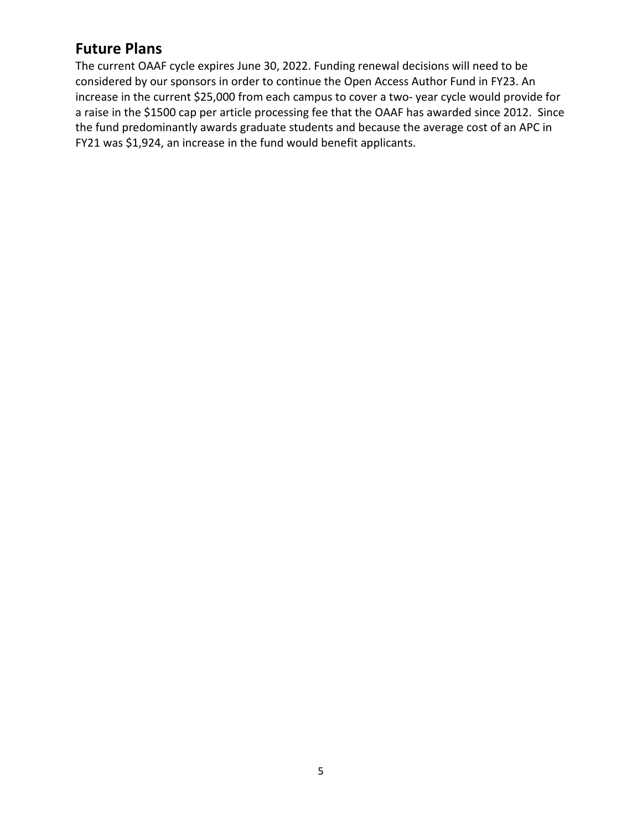## **Future Plans**

The current OAAF cycle expires June 30, 2022. Funding renewal decisions will need to be considered by our sponsors in order to continue the Open Access Author Fund in FY23. An increase in the current \$25,000 from each campus to cover a two- year cycle would provide for a raise in the \$1500 cap per article processing fee that the OAAF has awarded since 2012. Since the fund predominantly awards graduate students and because the average cost of an APC in FY21 was \$1,924, an increase in the fund would benefit applicants.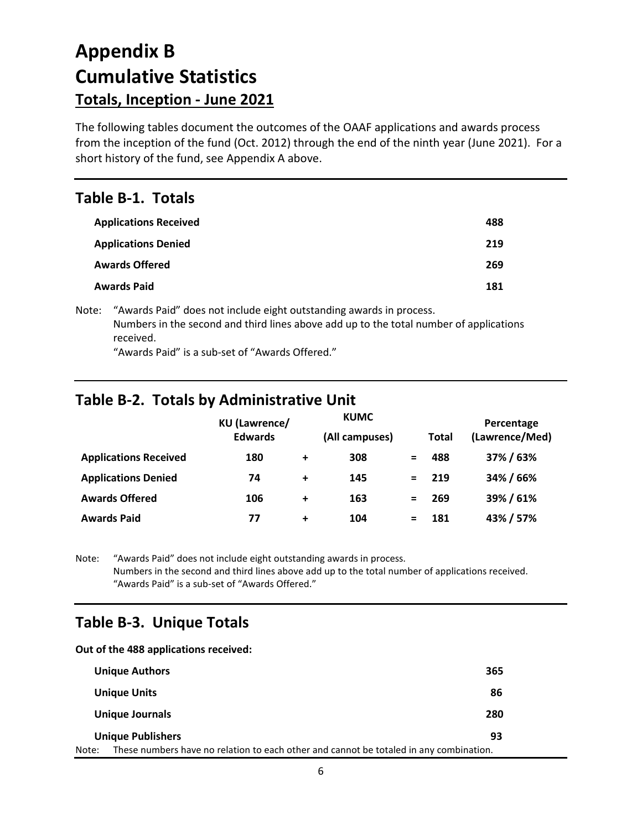# **Appendix B Cumulative Statistics Totals, Inception - June 2021**

The following tables document the outcomes of the OAAF applications and awards process from the inception of the fund (Oct. 2012) through the end of the ninth year (June 2021). For a short history of the fund, see Appendix A above.

### **Table B-1. Totals**

| <b>Applications Received</b> | 488 |
|------------------------------|-----|
| <b>Applications Denied</b>   | 219 |
| <b>Awards Offered</b>        | 269 |
| <b>Awards Paid</b>           | 181 |

Note: "Awards Paid" does not include eight outstanding awards in process. Numbers in the second and third lines above add up to the total number of applications received.

"Awards Paid" is a sub-set of "Awards Offered."

## **Table B-2. Totals by Administrative Unit**

|                              | <b>KU</b> (Lawrence/ |           | <b>KUMC</b>    |     |              | Percentage     |  |
|------------------------------|----------------------|-----------|----------------|-----|--------------|----------------|--|
|                              | <b>Edwards</b>       |           | (All campuses) |     | <b>Total</b> | (Lawrence/Med) |  |
| <b>Applications Received</b> | 180                  | $\ddot{}$ | 308            |     | 488          | 37% / 63%      |  |
| <b>Applications Denied</b>   | 74                   | $\ddot{}$ | 145            | $=$ | 219          | 34% / 66%      |  |
| <b>Awards Offered</b>        | 106                  | $\ddot{}$ | 163            |     | 269          | 39%/61%        |  |
| <b>Awards Paid</b>           | 77                   | $\ddot{}$ | 104            |     | 181          | 43% / 57%      |  |

Note: "Awards Paid" does not include eight outstanding awards in process. Numbers in the second and third lines above add up to the total number of applications received. "Awards Paid" is a sub-set of "Awards Offered."

## **Table B-3. Unique Totals**

#### **Out of the 488 applications received:**

|       | <b>Unique Authors</b>                                                                  | 365 |
|-------|----------------------------------------------------------------------------------------|-----|
|       | <b>Unique Units</b>                                                                    | 86  |
|       | Unique Journals                                                                        | 280 |
|       | <b>Unique Publishers</b>                                                               | 93  |
| Note: | These numbers have no relation to each other and cannot be totaled in any combination. |     |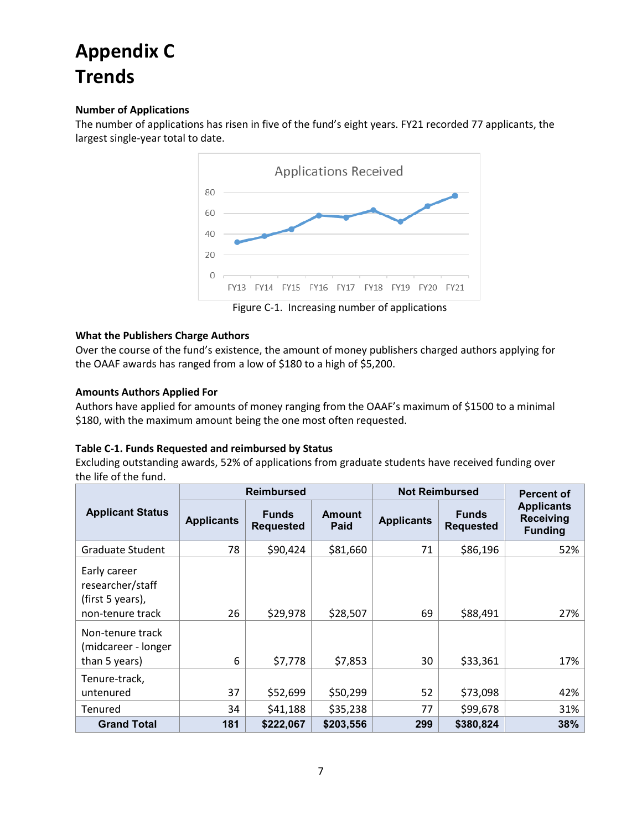# **Appendix C Trends**

### **Number of Applications**

The number of applications has risen in five of the fund's eight years. FY21 recorded 77 applicants, the largest single-year total to date.



#### **What the Publishers Charge Authors**

Over the course of the fund's existence, the amount of money publishers charged authors applying for the OAAF awards has ranged from a low of \$180 to a high of \$5,200.

### **Amounts Authors Applied For**

Authors have applied for amounts of money ranging from the OAAF's maximum of \$1500 to a minimal \$180, with the maximum amount being the one most often requested.

#### **Table C-1. Funds Requested and reimbursed by Status**

Excluding outstanding awards, 52% of applications from graduate students have received funding over the life of the fund.

|                                                                                              | <b>Reimbursed</b> |                                  |                       | <b>Not Reimbursed</b> |                                  | Percent of                                              |
|----------------------------------------------------------------------------------------------|-------------------|----------------------------------|-----------------------|-----------------------|----------------------------------|---------------------------------------------------------|
| <b>Applicant Status</b>                                                                      | <b>Applicants</b> | <b>Funds</b><br><b>Requested</b> | <b>Amount</b><br>Paid | <b>Applicants</b>     | <b>Funds</b><br><b>Requested</b> | <b>Applicants</b><br><b>Receiving</b><br><b>Funding</b> |
| <b>Graduate Student</b>                                                                      | 78                | \$90,424                         | \$81,660              | 71                    | \$86,196                         | 52%                                                     |
| Early career<br>researcher/staff<br>(first 5 years),<br>non-tenure track<br>Non-tenure track | 26                | \$29,978                         | \$28,507              | 69                    | \$88,491                         | 27%                                                     |
| (midcareer - longer<br>than 5 years)                                                         | 6                 | \$7,778                          | \$7,853               | 30                    | \$33,361                         | 17%                                                     |
| Tenure-track,<br>untenured                                                                   | 37                | \$52,699                         | \$50,299              | 52                    | \$73,098                         | 42%                                                     |
| Tenured                                                                                      | 34                | \$41,188                         | \$35,238              | 77                    | \$99,678                         | 31%                                                     |
| <b>Grand Total</b>                                                                           | 181               | \$222,067                        | \$203,556             | 299                   | \$380,824                        | 38%                                                     |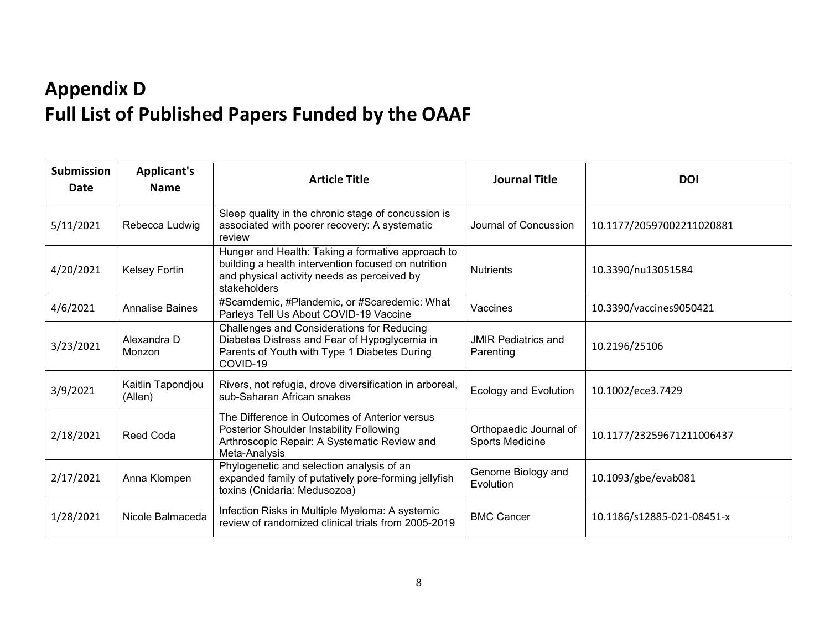# **Appendix D Full List of Published Papers Funded by the OAAF**

| <b>Submission</b><br>Date | <b>Applicant's</b><br><b>Name</b> | <b>Article Title</b>                                                                                                                                                    | <b>Journal Title</b>                      | <b>DOI</b>                 |
|---------------------------|-----------------------------------|-------------------------------------------------------------------------------------------------------------------------------------------------------------------------|-------------------------------------------|----------------------------|
| 5/11/2021                 | Rebecca Ludwig                    | Sleep quality in the chronic stage of concussion is<br>associated with poorer recovery: A systematic<br>review                                                          | Journal of Concussion                     | 10.1177/20597002211020881  |
| 4/20/2021                 | Kelsey Fortin                     | Hunger and Health: Taking a formative approach to<br>building a health intervention focused on nutrition<br>and physical activity needs as perceived by<br>stakeholders | <b>Nutrients</b>                          | 10.3390/nu13051584         |
| 4/6/2021                  | <b>Annalise Baines</b>            | #Scamdemic, #Plandemic, or #Scaredemic: What<br>Parleys Tell Us About COVID-19 Vaccine                                                                                  | Vaccines                                  | 10.3390/vaccines9050421    |
| 3/23/2021                 | Alexandra D<br>Monzon             | Challenges and Considerations for Reducing<br>Diabetes Distress and Fear of Hypoglycemia in<br>Parents of Youth with Type 1 Diabetes During<br>COVID-19                 | <b>JMIR Pediatrics and</b><br>Parenting   | 10.2196/25106              |
| 3/9/2021                  | Kaitlin Tapondjou<br>(Allen)      | Rivers, not refugia, drove diversification in arboreal,<br>sub-Saharan African snakes                                                                                   | Ecology and Evolution                     | 10.1002/ece3.7429          |
| 2/18/2021                 | Reed Coda                         | The Difference in Outcomes of Anterior versus<br>Posterior Shoulder Instability Following<br>Arthroscopic Repair: A Systematic Review and<br>Meta-Analysis              | Orthopaedic Journal of<br>Sports Medicine | 10.1177/23259671211006437  |
| 2/17/2021                 | Anna Klompen                      | Phylogenetic and selection analysis of an<br>expanded family of putatively pore-forming jellyfish<br>toxins (Cnidaria: Medusozoa)                                       | Genome Biology and<br>Evolution           | 10.1093/gbe/evab081        |
| 1/28/2021                 | Nicole Balmaceda                  | Infection Risks in Multiple Myeloma: A systemic<br>review of randomized clinical trials from 2005-2019                                                                  | <b>BMC Cancer</b>                         | 10.1186/s12885-021-08451-x |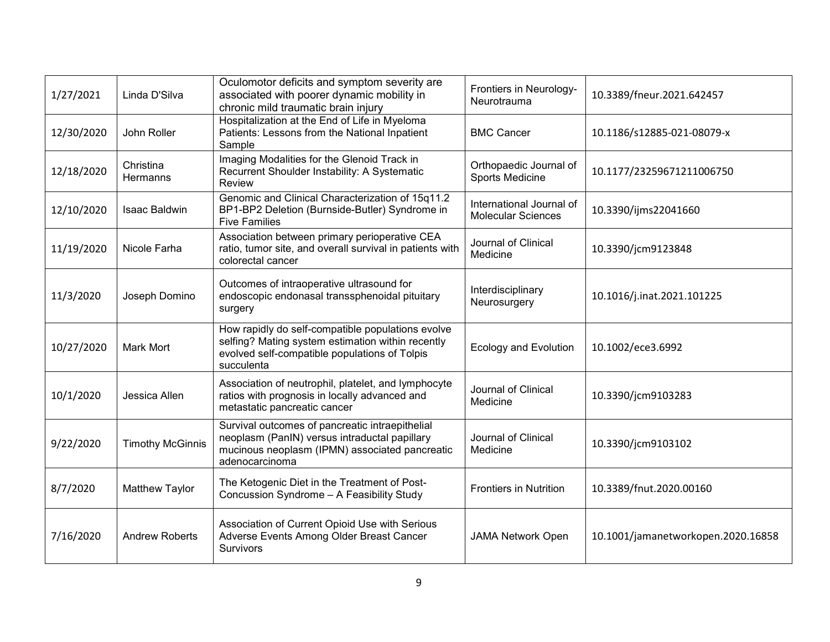| 1/27/2021  | Linda D'Silva           | Oculomotor deficits and symptom severity are<br>associated with poorer dynamic mobility in<br>chronic mild traumatic brain injury                                     | Frontiers in Neurology-<br>Neurotrauma                | 10.3389/fneur.2021.642457          |
|------------|-------------------------|-----------------------------------------------------------------------------------------------------------------------------------------------------------------------|-------------------------------------------------------|------------------------------------|
| 12/30/2020 | John Roller             | Hospitalization at the End of Life in Myeloma<br>Patients: Lessons from the National Inpatient<br>Sample                                                              | <b>BMC Cancer</b>                                     | 10.1186/s12885-021-08079-x         |
| 12/18/2020 | Christina<br>Hermanns   | Imaging Modalities for the Glenoid Track in<br>Recurrent Shoulder Instability: A Systematic<br>Review                                                                 | Orthopaedic Journal of<br>Sports Medicine             | 10.1177/23259671211006750          |
| 12/10/2020 | Isaac Baldwin           | Genomic and Clinical Characterization of 15q11.2<br>BP1-BP2 Deletion (Burnside-Butler) Syndrome in<br><b>Five Families</b>                                            | International Journal of<br><b>Molecular Sciences</b> | 10.3390/ijms22041660               |
| 11/19/2020 | Nicole Farha            | Association between primary perioperative CEA<br>ratio, tumor site, and overall survival in patients with<br>colorectal cancer                                        | Journal of Clinical<br>Medicine                       | 10.3390/jcm9123848                 |
| 11/3/2020  | Joseph Domino           | Outcomes of intraoperative ultrasound for<br>endoscopic endonasal transsphenoidal pituitary<br>surgery                                                                | Interdisciplinary<br>Neurosurgery                     | 10.1016/j.inat.2021.101225         |
| 10/27/2020 | Mark Mort               | How rapidly do self-compatible populations evolve<br>selfing? Mating system estimation within recently<br>evolved self-compatible populations of Tolpis<br>succulenta | <b>Ecology and Evolution</b>                          | 10.1002/ece3.6992                  |
| 10/1/2020  | Jessica Allen           | Association of neutrophil, platelet, and lymphocyte<br>ratios with prognosis in locally advanced and<br>metastatic pancreatic cancer                                  | Journal of Clinical<br>Medicine                       | 10.3390/jcm9103283                 |
| 9/22/2020  | <b>Timothy McGinnis</b> | Survival outcomes of pancreatic intraepithelial<br>neoplasm (PanIN) versus intraductal papillary<br>mucinous neoplasm (IPMN) associated pancreatic<br>adenocarcinoma  | Journal of Clinical<br>Medicine                       | 10.3390/jcm9103102                 |
| 8/7/2020   | Matthew Taylor          | The Ketogenic Diet in the Treatment of Post-<br>Concussion Syndrome - A Feasibility Study                                                                             | <b>Frontiers in Nutrition</b>                         | 10.3389/fnut.2020.00160            |
| 7/16/2020  | <b>Andrew Roberts</b>   | Association of Current Opioid Use with Serious<br>Adverse Events Among Older Breast Cancer<br><b>Survivors</b>                                                        | <b>JAMA Network Open</b>                              | 10.1001/jamanetworkopen.2020.16858 |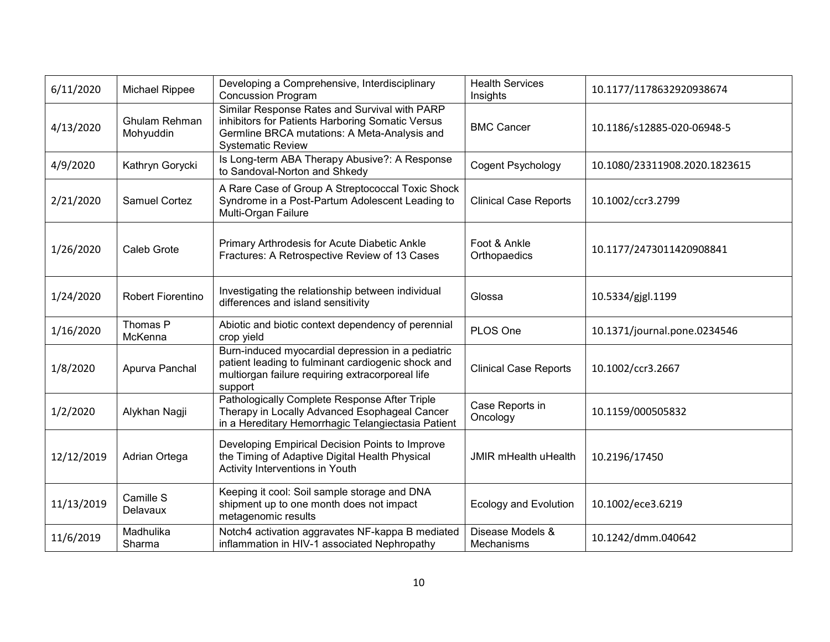| 6/11/2020  | Michael Rippee             | Developing a Comprehensive, Interdisciplinary<br><b>Concussion Program</b>                                                                                                    | <b>Health Services</b><br>Insights | 10.1177/1178632920938674      |
|------------|----------------------------|-------------------------------------------------------------------------------------------------------------------------------------------------------------------------------|------------------------------------|-------------------------------|
| 4/13/2020  | Ghulam Rehman<br>Mohyuddin | Similar Response Rates and Survival with PARP<br>inhibitors for Patients Harboring Somatic Versus<br>Germline BRCA mutations: A Meta-Analysis and<br><b>Systematic Review</b> | <b>BMC Cancer</b>                  | 10.1186/s12885-020-06948-5    |
| 4/9/2020   | Kathryn Gorycki            | Is Long-term ABA Therapy Abusive?: A Response<br>to Sandoval-Norton and Shkedy                                                                                                | Cogent Psychology                  | 10.1080/23311908.2020.1823615 |
| 2/21/2020  | <b>Samuel Cortez</b>       | A Rare Case of Group A Streptococcal Toxic Shock<br>Syndrome in a Post-Partum Adolescent Leading to<br>Multi-Organ Failure                                                    | <b>Clinical Case Reports</b>       | 10.1002/ccr3.2799             |
| 1/26/2020  | Caleb Grote                | Primary Arthrodesis for Acute Diabetic Ankle<br>Fractures: A Retrospective Review of 13 Cases                                                                                 | Foot & Ankle<br>Orthopaedics       | 10.1177/2473011420908841      |
| 1/24/2020  | Robert Fiorentino          | Investigating the relationship between individual<br>differences and island sensitivity                                                                                       | Glossa                             | 10.5334/gjgl.1199             |
| 1/16/2020  | Thomas P<br>McKenna        | Abiotic and biotic context dependency of perennial<br>crop yield                                                                                                              | PLOS One                           | 10.1371/journal.pone.0234546  |
| 1/8/2020   | Apurva Panchal             | Burn-induced myocardial depression in a pediatric<br>patient leading to fulminant cardiogenic shock and<br>multiorgan failure requiring extracorporeal life<br>support        | <b>Clinical Case Reports</b>       | 10.1002/ccr3.2667             |
| 1/2/2020   | Alykhan Nagji              | Pathologically Complete Response After Triple<br>Therapy in Locally Advanced Esophageal Cancer<br>in a Hereditary Hemorrhagic Telangiectasia Patient                          | Case Reports in<br>Oncology        | 10.1159/000505832             |
| 12/12/2019 | Adrian Ortega              | Developing Empirical Decision Points to Improve<br>the Timing of Adaptive Digital Health Physical<br>Activity Interventions in Youth                                          | <b>JMIR mHealth uHealth</b>        | 10.2196/17450                 |
| 11/13/2019 | Camille S<br>Delavaux      | Keeping it cool: Soil sample storage and DNA<br>shipment up to one month does not impact<br>metagenomic results                                                               | <b>Ecology and Evolution</b>       | 10.1002/ece3.6219             |
| 11/6/2019  | Madhulika<br>Sharma        | Notch4 activation aggravates NF-kappa B mediated<br>inflammation in HIV-1 associated Nephropathy                                                                              | Disease Models &<br>Mechanisms     | 10.1242/dmm.040642            |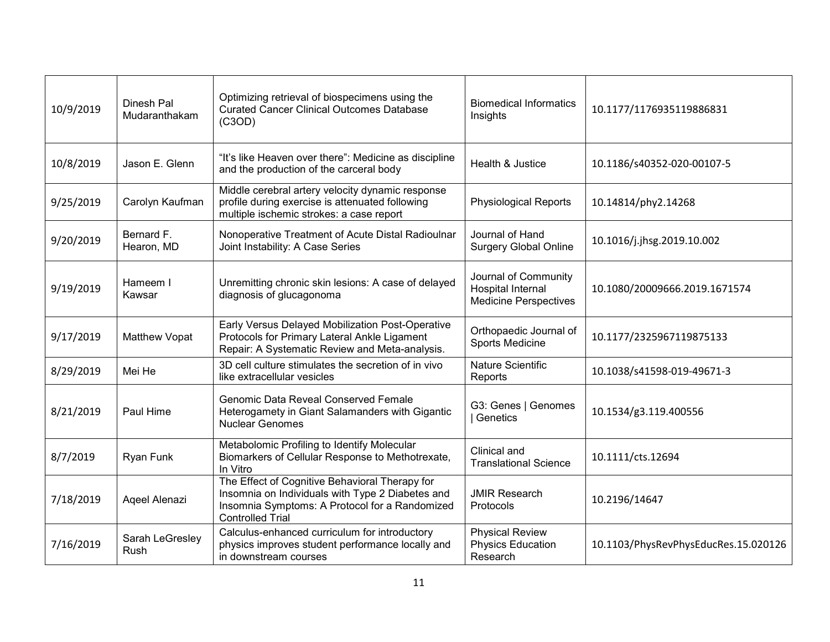| 10/9/2019 | Dinesh Pal<br>Mudaranthakam | Optimizing retrieval of biospecimens using the<br><b>Curated Cancer Clinical Outcomes Database</b><br>(C3OD)                                                                    | <b>Biomedical Informatics</b><br>Insights                                 | 10.1177/1176935119886831             |
|-----------|-----------------------------|---------------------------------------------------------------------------------------------------------------------------------------------------------------------------------|---------------------------------------------------------------------------|--------------------------------------|
| 10/8/2019 | Jason E. Glenn              | "It's like Heaven over there": Medicine as discipline<br>and the production of the carceral body                                                                                | Health & Justice                                                          | 10.1186/s40352-020-00107-5           |
| 9/25/2019 | Carolyn Kaufman             | Middle cerebral artery velocity dynamic response<br>profile during exercise is attenuated following<br>multiple ischemic strokes: a case report                                 | <b>Physiological Reports</b>                                              | 10.14814/phy2.14268                  |
| 9/20/2019 | Bernard F.<br>Hearon, MD    | Nonoperative Treatment of Acute Distal Radioulnar<br>Joint Instability: A Case Series                                                                                           | Journal of Hand<br><b>Surgery Global Online</b>                           | 10.1016/j.jhsg.2019.10.002           |
| 9/19/2019 | Hameem I<br>Kawsar          | Unremitting chronic skin lesions: A case of delayed<br>diagnosis of glucagonoma                                                                                                 | Journal of Community<br>Hospital Internal<br><b>Medicine Perspectives</b> | 10.1080/20009666.2019.1671574        |
| 9/17/2019 | Matthew Vopat               | Early Versus Delayed Mobilization Post-Operative<br>Protocols for Primary Lateral Ankle Ligament<br>Repair: A Systematic Review and Meta-analysis.                              | Orthopaedic Journal of<br>Sports Medicine                                 | 10.1177/2325967119875133             |
| 8/29/2019 | Mei He                      | 3D cell culture stimulates the secretion of in vivo<br>like extracellular vesicles                                                                                              | <b>Nature Scientific</b><br>Reports                                       | 10.1038/s41598-019-49671-3           |
| 8/21/2019 | Paul Hime                   | Genomic Data Reveal Conserved Female<br>Heterogamety in Giant Salamanders with Gigantic<br><b>Nuclear Genomes</b>                                                               | G3: Genes   Genomes<br>Genetics                                           | 10.1534/g3.119.400556                |
| 8/7/2019  | Ryan Funk                   | Metabolomic Profiling to Identify Molecular<br>Biomarkers of Cellular Response to Methotrexate,<br>In Vitro                                                                     | Clinical and<br><b>Translational Science</b>                              | 10.1111/cts.12694                    |
| 7/18/2019 | Aqeel Alenazi               | The Effect of Cognitive Behavioral Therapy for<br>Insomnia on Individuals with Type 2 Diabetes and<br>Insomnia Symptoms: A Protocol for a Randomized<br><b>Controlled Trial</b> | <b>JMIR Research</b><br>Protocols                                         | 10.2196/14647                        |
| 7/16/2019 | Sarah LeGresley<br>Rush     | Calculus-enhanced curriculum for introductory<br>physics improves student performance locally and<br>in downstream courses                                                      | <b>Physical Review</b><br>Physics Education<br>Research                   | 10.1103/PhysRevPhysEducRes.15.020126 |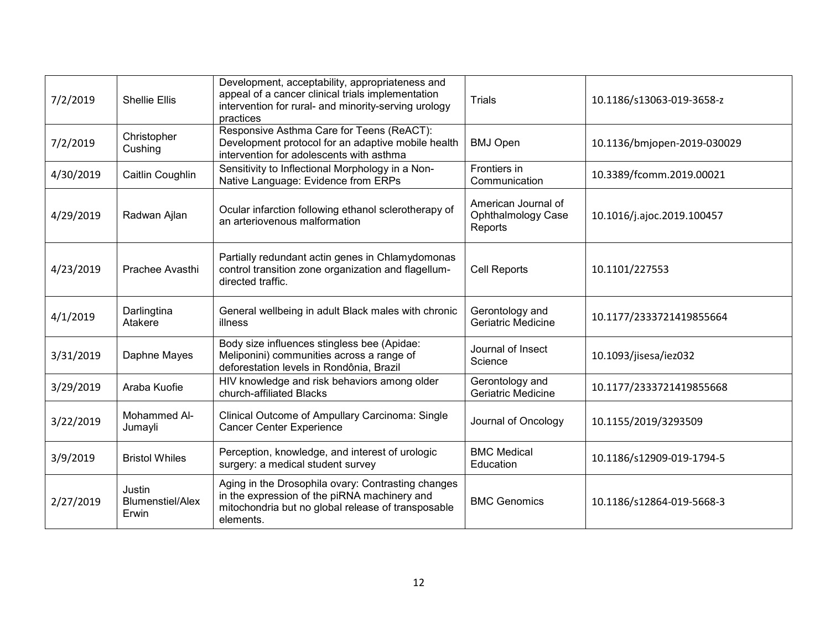| 7/2/2019  | <b>Shellie Ellis</b>                       | Development, acceptability, appropriateness and<br>appeal of a cancer clinical trials implementation<br>intervention for rural- and minority-serving urology<br>practices | <b>Trials</b>                                        | 10.1186/s13063-019-3658-z   |
|-----------|--------------------------------------------|---------------------------------------------------------------------------------------------------------------------------------------------------------------------------|------------------------------------------------------|-----------------------------|
| 7/2/2019  | Christopher<br>Cushing                     | Responsive Asthma Care for Teens (ReACT):<br>Development protocol for an adaptive mobile health<br>intervention for adolescents with asthma                               | <b>BMJ Open</b>                                      | 10.1136/bmjopen-2019-030029 |
| 4/30/2019 | Caitlin Coughlin                           | Sensitivity to Inflectional Morphology in a Non-<br>Native Language: Evidence from ERPs                                                                                   | Frontiers in<br>Communication                        | 10.3389/fcomm.2019.00021    |
| 4/29/2019 | Radwan Ajlan                               | Ocular infarction following ethanol sclerotherapy of<br>an arteriovenous malformation                                                                                     | American Journal of<br>Ophthalmology Case<br>Reports | 10.1016/j.ajoc.2019.100457  |
| 4/23/2019 | Prachee Avasthi                            | Partially redundant actin genes in Chlamydomonas<br>control transition zone organization and flagellum-<br>directed traffic.                                              | Cell Reports                                         | 10.1101/227553              |
| 4/1/2019  | Darlingtina<br>Atakere                     | General wellbeing in adult Black males with chronic<br>illness                                                                                                            | Gerontology and<br>Geriatric Medicine                | 10.1177/2333721419855664    |
| 3/31/2019 | Daphne Mayes                               | Body size influences stingless bee (Apidae:<br>Meliponini) communities across a range of<br>deforestation levels in Rondônia, Brazil                                      | Journal of Insect<br>Science                         | 10.1093/jisesa/iez032       |
| 3/29/2019 | Araba Kuofie                               | HIV knowledge and risk behaviors among older<br>church-affiliated Blacks                                                                                                  | Gerontology and<br>Geriatric Medicine                | 10.1177/2333721419855668    |
| 3/22/2019 | Mohammed Al-<br>Jumayli                    | Clinical Outcome of Ampullary Carcinoma: Single<br><b>Cancer Center Experience</b>                                                                                        | Journal of Oncology                                  | 10.1155/2019/3293509        |
| 3/9/2019  | <b>Bristol Whiles</b>                      | Perception, knowledge, and interest of urologic<br>surgery: a medical student survey                                                                                      | <b>BMC Medical</b><br>Education                      | 10.1186/s12909-019-1794-5   |
| 2/27/2019 | Justin<br><b>Blumenstiel/Alex</b><br>Erwin | Aging in the Drosophila ovary: Contrasting changes<br>in the expression of the piRNA machinery and<br>mitochondria but no global release of transposable<br>elements.     | <b>BMC Genomics</b>                                  | 10.1186/s12864-019-5668-3   |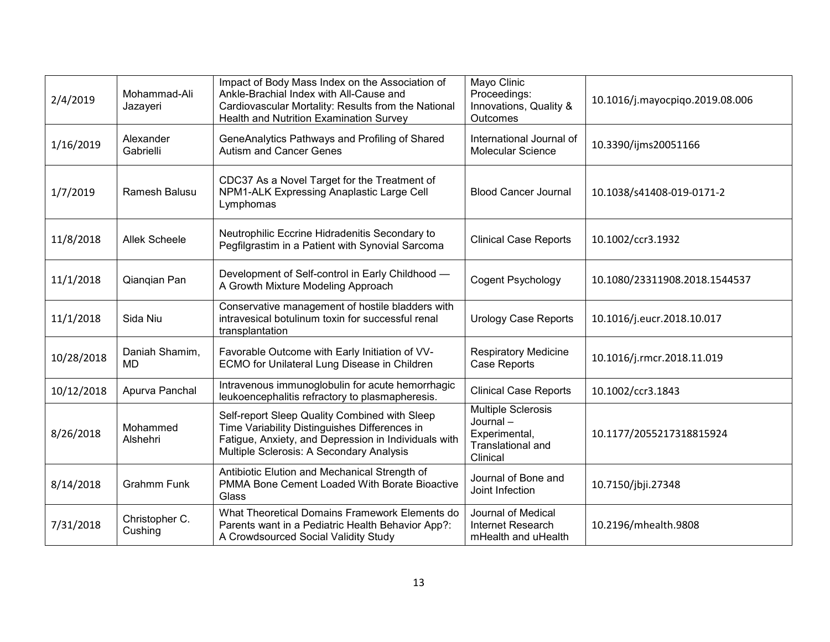| 2/4/2019   | Mohammad-Ali<br>Jazayeri  | Impact of Body Mass Index on the Association of<br>Ankle-Brachial Index with All-Cause and<br>Cardiovascular Mortality: Results from the National<br>Health and Nutrition Examination Survey       | Mayo Clinic<br>Proceedings:<br>Innovations, Quality &<br><b>Outcomes</b>                       | 10.1016/j.mayocpiqo.2019.08.006 |
|------------|---------------------------|----------------------------------------------------------------------------------------------------------------------------------------------------------------------------------------------------|------------------------------------------------------------------------------------------------|---------------------------------|
| 1/16/2019  | Alexander<br>Gabrielli    | GeneAnalytics Pathways and Profiling of Shared<br><b>Autism and Cancer Genes</b>                                                                                                                   | International Journal of<br><b>Molecular Science</b>                                           | 10.3390/ijms20051166            |
| 1/7/2019   | Ramesh Balusu             | CDC37 As a Novel Target for the Treatment of<br>NPM1-ALK Expressing Anaplastic Large Cell<br>Lymphomas                                                                                             | <b>Blood Cancer Journal</b>                                                                    | 10.1038/s41408-019-0171-2       |
| 11/8/2018  | <b>Allek Scheele</b>      | Neutrophilic Eccrine Hidradenitis Secondary to<br>Pegfilgrastim in a Patient with Synovial Sarcoma                                                                                                 | <b>Clinical Case Reports</b>                                                                   | 10.1002/ccr3.1932               |
| 11/1/2018  | Qianqian Pan              | Development of Self-control in Early Childhood -<br>A Growth Mixture Modeling Approach                                                                                                             | Cogent Psychology                                                                              | 10.1080/23311908.2018.1544537   |
| 11/1/2018  | Sida Niu                  | Conservative management of hostile bladders with<br>intravesical botulinum toxin for successful renal<br>transplantation                                                                           | <b>Urology Case Reports</b>                                                                    | 10.1016/j.eucr.2018.10.017      |
| 10/28/2018 | Daniah Shamim,<br>MD      | Favorable Outcome with Early Initiation of VV-<br>ECMO for Unilateral Lung Disease in Children                                                                                                     | <b>Respiratory Medicine</b><br>Case Reports                                                    | 10.1016/j.rmcr.2018.11.019      |
| 10/12/2018 | Apurva Panchal            | Intravenous immunoglobulin for acute hemorrhagic<br>leukoencephalitis refractory to plasmapheresis.                                                                                                | <b>Clinical Case Reports</b>                                                                   | 10.1002/ccr3.1843               |
| 8/26/2018  | Mohammed<br>Alshehri      | Self-report Sleep Quality Combined with Sleep<br>Time Variability Distinguishes Differences in<br>Fatigue, Anxiety, and Depression in Individuals with<br>Multiple Sclerosis: A Secondary Analysis | <b>Multiple Sclerosis</b><br>Journal-<br>Experimental,<br><b>Translational and</b><br>Clinical | 10.1177/2055217318815924        |
| 8/14/2018  | <b>Grahmm Funk</b>        | Antibiotic Elution and Mechanical Strength of<br>PMMA Bone Cement Loaded With Borate Bioactive<br>Glass                                                                                            | Journal of Bone and<br>Joint Infection                                                         | 10.7150/jbji.27348              |
| 7/31/2018  | Christopher C.<br>Cushing | What Theoretical Domains Framework Elements do<br>Parents want in a Pediatric Health Behavior App?:<br>A Crowdsourced Social Validity Study                                                        | Journal of Medical<br>Internet Research<br>mHealth and uHealth                                 | 10.2196/mhealth.9808            |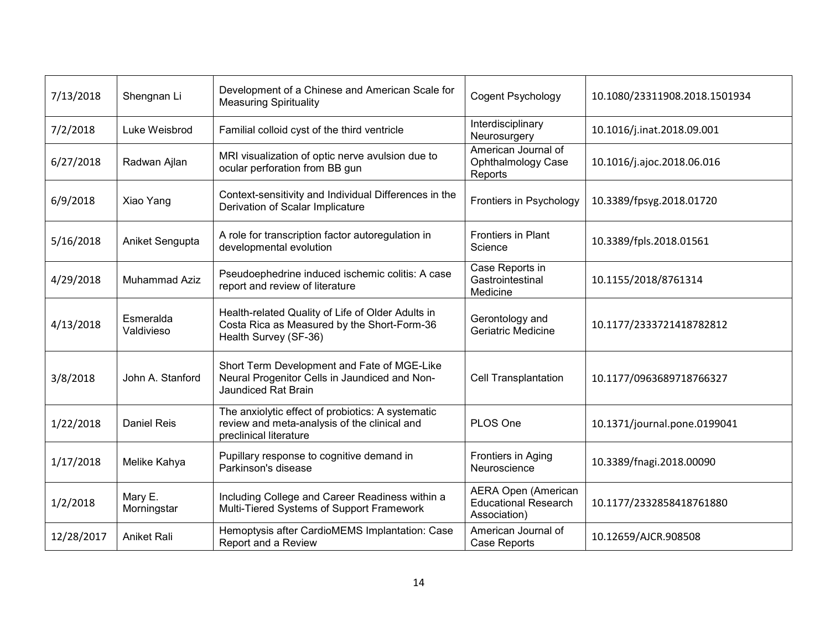| 7/13/2018  | Shengnan Li             | Development of a Chinese and American Scale for<br><b>Measuring Spirituality</b>                                            | Cogent Psychology                                                         | 10.1080/23311908.2018.1501934 |
|------------|-------------------------|-----------------------------------------------------------------------------------------------------------------------------|---------------------------------------------------------------------------|-------------------------------|
| 7/2/2018   | Luke Weisbrod           | Familial colloid cyst of the third ventricle                                                                                | Interdisciplinary<br>Neurosurgery                                         | 10.1016/j.inat.2018.09.001    |
| 6/27/2018  | Radwan Ajlan            | MRI visualization of optic nerve avulsion due to<br>ocular perforation from BB gun                                          | American Journal of<br><b>Ophthalmology Case</b><br>Reports               | 10.1016/j.ajoc.2018.06.016    |
| 6/9/2018   | Xiao Yang               | Context-sensitivity and Individual Differences in the<br>Derivation of Scalar Implicature                                   | Frontiers in Psychology                                                   | 10.3389/fpsyg.2018.01720      |
| 5/16/2018  | Aniket Sengupta         | A role for transcription factor autoregulation in<br>developmental evolution                                                | Frontiers in Plant<br>Science                                             | 10.3389/fpls.2018.01561       |
| 4/29/2018  | Muhammad Aziz           | Pseudoephedrine induced ischemic colitis: A case<br>report and review of literature                                         | Case Reports in<br>Gastrointestinal<br>Medicine                           | 10.1155/2018/8761314          |
| 4/13/2018  | Esmeralda<br>Valdivieso | Health-related Quality of Life of Older Adults in<br>Costa Rica as Measured by the Short-Form-36<br>Health Survey (SF-36)   | Gerontology and<br>Geriatric Medicine                                     | 10.1177/2333721418782812      |
| 3/8/2018   | John A. Stanford        | Short Term Development and Fate of MGE-Like<br>Neural Progenitor Cells in Jaundiced and Non-<br>Jaundiced Rat Brain         | <b>Cell Transplantation</b>                                               | 10.1177/0963689718766327      |
| 1/22/2018  | <b>Daniel Reis</b>      | The anxiolytic effect of probiotics: A systematic<br>review and meta-analysis of the clinical and<br>preclinical literature | PLOS One                                                                  | 10.1371/journal.pone.0199041  |
| 1/17/2018  | Melike Kahya            | Pupillary response to cognitive demand in<br>Parkinson's disease                                                            | Frontiers in Aging<br>Neuroscience                                        | 10.3389/fnagi.2018.00090      |
| 1/2/2018   | Mary E.<br>Morningstar  | Including College and Career Readiness within a<br>Multi-Tiered Systems of Support Framework                                | <b>AERA Open (American</b><br><b>Educational Research</b><br>Association) | 10.1177/2332858418761880      |
| 12/28/2017 | <b>Aniket Rali</b>      | Hemoptysis after CardioMEMS Implantation: Case<br>Report and a Review                                                       | American Journal of<br>Case Reports                                       | 10.12659/AJCR.908508          |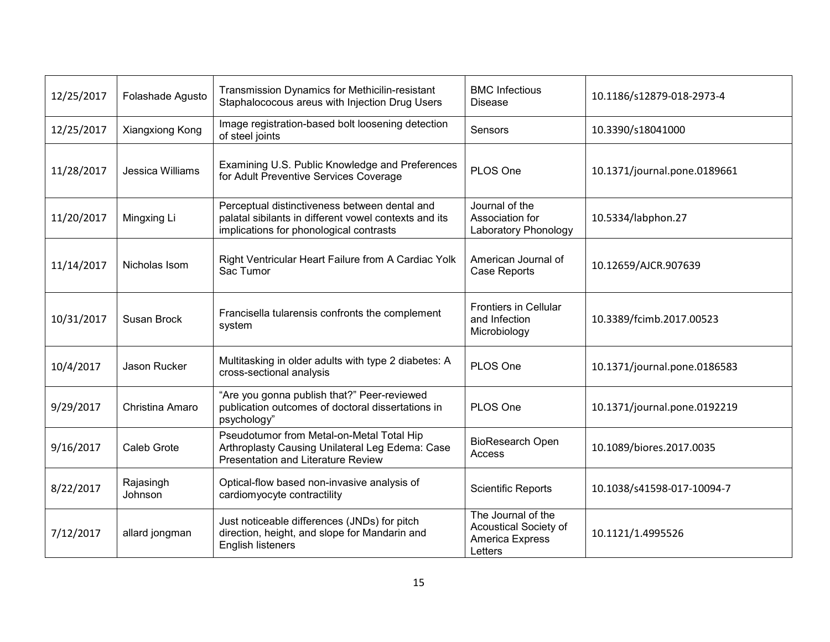| 12/25/2017 | Folashade Agusto     | Transmission Dynamics for Methicilin-resistant<br>Staphalococous areus with Injection Drug Users                                                  | <b>BMC Infectious</b><br><b>Disease</b>                                          | 10.1186/s12879-018-2973-4    |
|------------|----------------------|---------------------------------------------------------------------------------------------------------------------------------------------------|----------------------------------------------------------------------------------|------------------------------|
| 12/25/2017 | Xiangxiong Kong      | Image registration-based bolt loosening detection<br>of steel joints                                                                              | Sensors                                                                          | 10.3390/s18041000            |
| 11/28/2017 | Jessica Williams     | Examining U.S. Public Knowledge and Preferences<br>for Adult Preventive Services Coverage                                                         | PLOS One                                                                         | 10.1371/journal.pone.0189661 |
| 11/20/2017 | Mingxing Li          | Perceptual distinctiveness between dental and<br>palatal sibilants in different vowel contexts and its<br>implications for phonological contrasts | Journal of the<br>Association for<br>Laboratory Phonology                        | 10.5334/labphon.27           |
| 11/14/2017 | Nicholas Isom        | Right Ventricular Heart Failure from A Cardiac Yolk<br>Sac Tumor                                                                                  | American Journal of<br><b>Case Reports</b>                                       | 10.12659/AJCR.907639         |
| 10/31/2017 | Susan Brock          | Francisella tularensis confronts the complement<br>system                                                                                         | <b>Frontiers in Cellular</b><br>and Infection<br>Microbiology                    | 10.3389/fcimb.2017.00523     |
| 10/4/2017  | Jason Rucker         | Multitasking in older adults with type 2 diabetes: A<br>cross-sectional analysis                                                                  | PLOS One                                                                         | 10.1371/journal.pone.0186583 |
| 9/29/2017  | Christina Amaro      | "Are you gonna publish that?" Peer-reviewed<br>publication outcomes of doctoral dissertations in<br>psychology"                                   | PLOS One                                                                         | 10.1371/journal.pone.0192219 |
| 9/16/2017  | Caleb Grote          | Pseudotumor from Metal-on-Metal Total Hip<br>Arthroplasty Causing Unilateral Leg Edema: Case<br><b>Presentation and Literature Review</b>         | <b>BioResearch Open</b><br>Access                                                | 10.1089/biores.2017.0035     |
| 8/22/2017  | Rajasingh<br>Johnson | Optical-flow based non-invasive analysis of<br>cardiomyocyte contractility                                                                        | <b>Scientific Reports</b>                                                        | 10.1038/s41598-017-10094-7   |
| 7/12/2017  | allard jongman       | Just noticeable differences (JNDs) for pitch<br>direction, height, and slope for Mandarin and<br>English listeners                                | The Journal of the<br><b>Acoustical Society of</b><br>America Express<br>Letters | 10.1121/1.4995526            |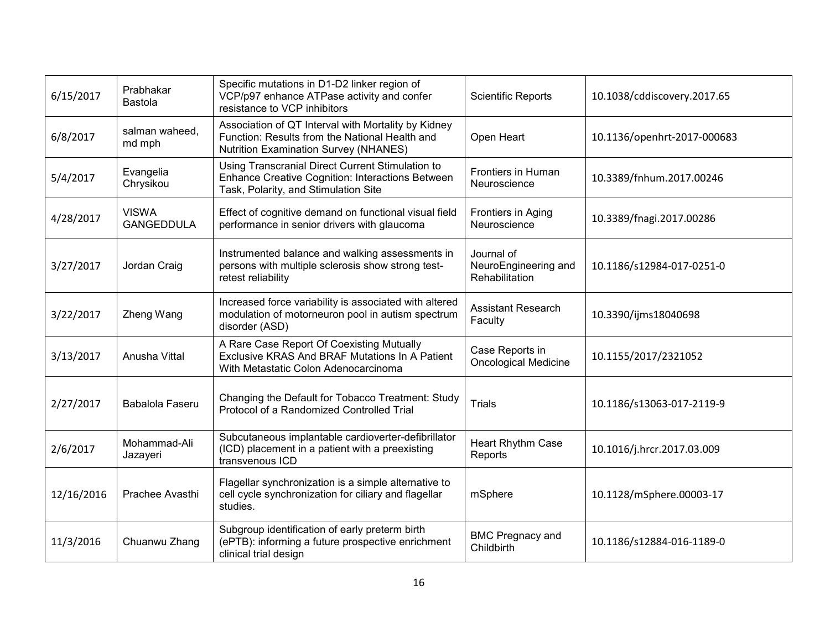| 6/15/2017  | Prabhakar<br>Bastola              | Specific mutations in D1-D2 linker region of<br>VCP/p97 enhance ATPase activity and confer<br>resistance to VCP inhibitors                            | <b>Scientific Reports</b>                            | 10.1038/cddiscovery.2017.65 |
|------------|-----------------------------------|-------------------------------------------------------------------------------------------------------------------------------------------------------|------------------------------------------------------|-----------------------------|
| 6/8/2017   | salman waheed,<br>md mph          | Association of QT Interval with Mortality by Kidney<br>Function: Results from the National Health and<br><b>Nutrition Examination Survey (NHANES)</b> | Open Heart                                           | 10.1136/openhrt-2017-000683 |
| 5/4/2017   | Evangelia<br>Chrysikou            | Using Transcranial Direct Current Stimulation to<br><b>Enhance Creative Cognition: Interactions Between</b><br>Task, Polarity, and Stimulation Site   | <b>Frontiers in Human</b><br>Neuroscience            | 10.3389/fnhum.2017.00246    |
| 4/28/2017  | <b>VISWA</b><br><b>GANGEDDULA</b> | Effect of cognitive demand on functional visual field<br>performance in senior drivers with glaucoma                                                  | Frontiers in Aging<br>Neuroscience                   | 10.3389/fnagi.2017.00286    |
| 3/27/2017  | Jordan Craig                      | Instrumented balance and walking assessments in<br>persons with multiple sclerosis show strong test-<br>retest reliability                            | Journal of<br>NeuroEngineering and<br>Rehabilitation | 10.1186/s12984-017-0251-0   |
| 3/22/2017  | Zheng Wang                        | Increased force variability is associated with altered<br>modulation of motorneuron pool in autism spectrum<br>disorder (ASD)                         | <b>Assistant Research</b><br>Faculty                 | 10.3390/ijms18040698        |
| 3/13/2017  | Anusha Vittal                     | A Rare Case Report Of Coexisting Mutually<br>Exclusive KRAS And BRAF Mutations In A Patient<br>With Metastatic Colon Adenocarcinoma                   | Case Reports in<br><b>Oncological Medicine</b>       | 10.1155/2017/2321052        |
| 2/27/2017  | Babalola Faseru                   | Changing the Default for Tobacco Treatment: Study<br>Protocol of a Randomized Controlled Trial                                                        | <b>Trials</b>                                        | 10.1186/s13063-017-2119-9   |
| 2/6/2017   | Mohammad-Ali<br>Jazayeri          | Subcutaneous implantable cardioverter-defibrillator<br>(ICD) placement in a patient with a preexisting<br>transvenous ICD                             | Heart Rhythm Case<br>Reports                         | 10.1016/j.hrcr.2017.03.009  |
| 12/16/2016 | Prachee Avasthi                   | Flagellar synchronization is a simple alternative to<br>cell cycle synchronization for ciliary and flagellar<br>studies.                              | mSphere                                              | 10.1128/mSphere.00003-17    |
| 11/3/2016  | Chuanwu Zhang                     | Subgroup identification of early preterm birth<br>(ePTB): informing a future prospective enrichment<br>clinical trial design                          | <b>BMC Pregnacy and</b><br>Childbirth                | 10.1186/s12884-016-1189-0   |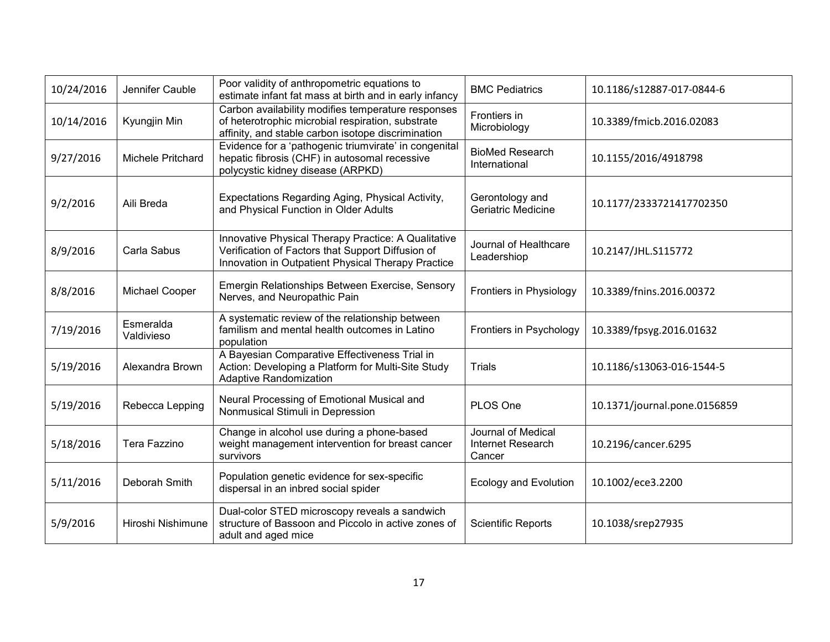| 10/24/2016 | Jennifer Cauble         | Poor validity of anthropometric equations to<br>estimate infant fat mass at birth and in early infancy                                                         | <b>BMC Pediatrics</b>                             | 10.1186/s12887-017-0844-6    |
|------------|-------------------------|----------------------------------------------------------------------------------------------------------------------------------------------------------------|---------------------------------------------------|------------------------------|
| 10/14/2016 | Kyungjin Min            | Carbon availability modifies temperature responses<br>of heterotrophic microbial respiration, substrate<br>affinity, and stable carbon isotope discrimination  | Frontiers in<br>Microbiology                      | 10.3389/fmicb.2016.02083     |
| 9/27/2016  | Michele Pritchard       | Evidence for a 'pathogenic triumvirate' in congenital<br>hepatic fibrosis (CHF) in autosomal recessive<br>polycystic kidney disease (ARPKD)                    | <b>BioMed Research</b><br>International           | 10.1155/2016/4918798         |
| 9/2/2016   | Aili Breda              | Expectations Regarding Aging, Physical Activity,<br>and Physical Function in Older Adults                                                                      | Gerontology and<br>Geriatric Medicine             | 10.1177/2333721417702350     |
| 8/9/2016   | Carla Sabus             | Innovative Physical Therapy Practice: A Qualitative<br>Verification of Factors that Support Diffusion of<br>Innovation in Outpatient Physical Therapy Practice | Journal of Healthcare<br>Leadershiop              | 10.2147/JHL.S115772          |
| 8/8/2016   | Michael Cooper          | Emergin Relationships Between Exercise, Sensory<br>Nerves, and Neuropathic Pain                                                                                | Frontiers in Physiology                           | 10.3389/fnins.2016.00372     |
| 7/19/2016  | Esmeralda<br>Valdivieso | A systematic review of the relationship between<br>familism and mental health outcomes in Latino<br>population                                                 | Frontiers in Psychology                           | 10.3389/fpsyg.2016.01632     |
| 5/19/2016  | Alexandra Brown         | A Bayesian Comparative Effectiveness Trial in<br>Action: Developing a Platform for Multi-Site Study<br>Adaptive Randomization                                  | <b>Trials</b>                                     | 10.1186/s13063-016-1544-5    |
| 5/19/2016  | Rebecca Lepping         | Neural Processing of Emotional Musical and<br>Nonmusical Stimuli in Depression                                                                                 | PLOS One                                          | 10.1371/journal.pone.0156859 |
| 5/18/2016  | Tera Fazzino            | Change in alcohol use during a phone-based<br>weight management intervention for breast cancer<br>survivors                                                    | Journal of Medical<br>Internet Research<br>Cancer | 10.2196/cancer.6295          |
| 5/11/2016  | Deborah Smith           | Population genetic evidence for sex-specific<br>dispersal in an inbred social spider                                                                           | <b>Ecology and Evolution</b>                      | 10.1002/ece3.2200            |
| 5/9/2016   | Hiroshi Nishimune       | Dual-color STED microscopy reveals a sandwich<br>structure of Bassoon and Piccolo in active zones of<br>adult and aged mice                                    | <b>Scientific Reports</b>                         | 10.1038/srep27935            |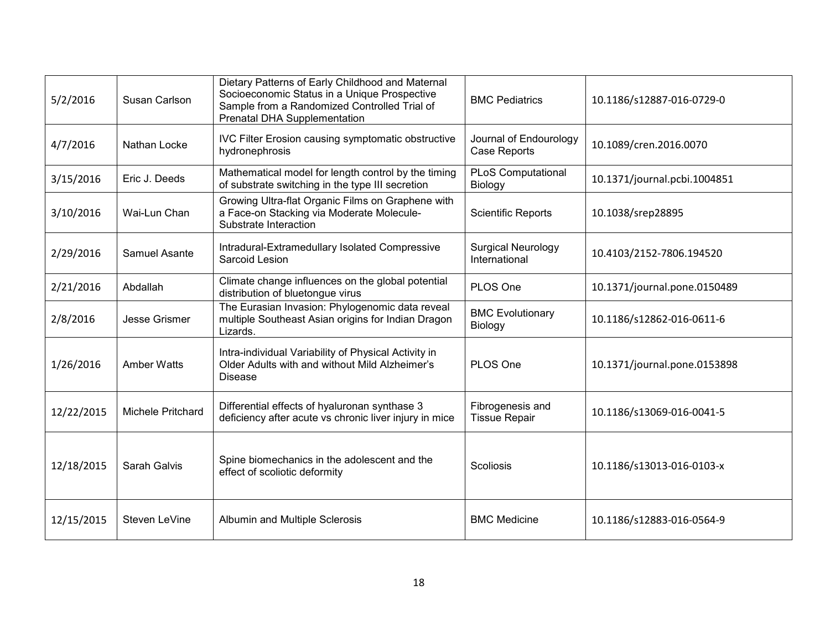| 5/2/2016   | Susan Carlson      | Dietary Patterns of Early Childhood and Maternal<br>Socioeconomic Status in a Unique Prospective<br>Sample from a Randomized Controlled Trial of<br><b>Prenatal DHA Supplementation</b> | <b>BMC Pediatrics</b>                      | 10.1186/s12887-016-0729-0    |
|------------|--------------------|-----------------------------------------------------------------------------------------------------------------------------------------------------------------------------------------|--------------------------------------------|------------------------------|
| 4/7/2016   | Nathan Locke       | <b>IVC Filter Erosion causing symptomatic obstructive</b><br>hydronephrosis                                                                                                             | Journal of Endourology<br>Case Reports     | 10.1089/cren.2016.0070       |
| 3/15/2016  | Eric J. Deeds      | Mathematical model for length control by the timing<br>of substrate switching in the type III secretion                                                                                 | <b>PLoS Computational</b><br>Biology       | 10.1371/journal.pcbi.1004851 |
| 3/10/2016  | Wai-Lun Chan       | Growing Ultra-flat Organic Films on Graphene with<br>a Face-on Stacking via Moderate Molecule-<br>Substrate Interaction                                                                 | <b>Scientific Reports</b>                  | 10.1038/srep28895            |
| 2/29/2016  | Samuel Asante      | Intradural-Extramedullary Isolated Compressive<br>Sarcoid Lesion                                                                                                                        | <b>Surgical Neurology</b><br>International | 10.4103/2152-7806.194520     |
| 2/21/2016  | Abdallah           | Climate change influences on the global potential<br>distribution of bluetongue virus                                                                                                   | PLOS One                                   | 10.1371/journal.pone.0150489 |
| 2/8/2016   | Jesse Grismer      | The Eurasian Invasion: Phylogenomic data reveal<br>multiple Southeast Asian origins for Indian Dragon<br>Lizards.                                                                       | <b>BMC Evolutionary</b><br>Biology         | 10.1186/s12862-016-0611-6    |
| 1/26/2016  | <b>Amber Watts</b> | Intra-individual Variability of Physical Activity in<br>Older Adults with and without Mild Alzheimer's<br><b>Disease</b>                                                                | PLOS One                                   | 10.1371/journal.pone.0153898 |
| 12/22/2015 | Michele Pritchard  | Differential effects of hyaluronan synthase 3<br>deficiency after acute vs chronic liver injury in mice                                                                                 | Fibrogenesis and<br><b>Tissue Repair</b>   | 10.1186/s13069-016-0041-5    |
| 12/18/2015 | Sarah Galvis       | Spine biomechanics in the adolescent and the<br>effect of scoliotic deformity                                                                                                           | Scoliosis                                  | 10.1186/s13013-016-0103-x    |
| 12/15/2015 | Steven LeVine      | Albumin and Multiple Sclerosis                                                                                                                                                          | <b>BMC Medicine</b>                        | 10.1186/s12883-016-0564-9    |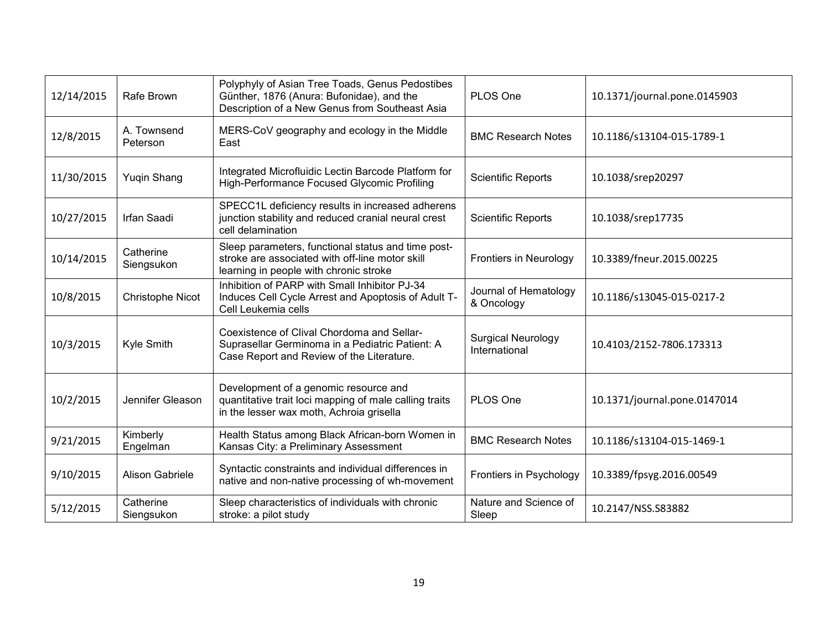| 12/14/2015 | Rafe Brown              | Polyphyly of Asian Tree Toads, Genus Pedostibes<br>Günther, 1876 (Anura: Bufonidae), and the<br>Description of a New Genus from Southeast Asia  | PLOS One                                   | 10.1371/journal.pone.0145903 |
|------------|-------------------------|-------------------------------------------------------------------------------------------------------------------------------------------------|--------------------------------------------|------------------------------|
| 12/8/2015  | A. Townsend<br>Peterson | MERS-CoV geography and ecology in the Middle<br>East                                                                                            | <b>BMC Research Notes</b>                  | 10.1186/s13104-015-1789-1    |
| 11/30/2015 | Yuqin Shang             | Integrated Microfluidic Lectin Barcode Platform for<br>High-Performance Focused Glycomic Profiling                                              | <b>Scientific Reports</b>                  | 10.1038/srep20297            |
| 10/27/2015 | Irfan Saadi             | SPECC1L deficiency results in increased adherens<br>junction stability and reduced cranial neural crest<br>cell delamination                    | <b>Scientific Reports</b>                  | 10.1038/srep17735            |
| 10/14/2015 | Catherine<br>Siengsukon | Sleep parameters, functional status and time post-<br>stroke are associated with off-line motor skill<br>learning in people with chronic stroke | Frontiers in Neurology                     | 10.3389/fneur.2015.00225     |
| 10/8/2015  | Christophe Nicot        | Inhibition of PARP with Small Inhibitor PJ-34<br>Induces Cell Cycle Arrest and Apoptosis of Adult T-<br>Cell Leukemia cells                     | Journal of Hematology<br>& Oncology        | 10.1186/s13045-015-0217-2    |
| 10/3/2015  | Kyle Smith              | Coexistence of Clival Chordoma and Sellar-<br>Suprasellar Germinoma in a Pediatric Patient: A<br>Case Report and Review of the Literature.      | <b>Surgical Neurology</b><br>International | 10.4103/2152-7806.173313     |
| 10/2/2015  | Jennifer Gleason        | Development of a genomic resource and<br>quantitative trait loci mapping of male calling traits<br>in the lesser wax moth, Achroia grisella     | PLOS One                                   | 10.1371/journal.pone.0147014 |
| 9/21/2015  | Kimberly<br>Engelman    | Health Status among Black African-born Women in<br>Kansas City: a Preliminary Assessment                                                        | <b>BMC Research Notes</b>                  | 10.1186/s13104-015-1469-1    |
| 9/10/2015  | Alison Gabriele         | Syntactic constraints and individual differences in<br>native and non-native processing of wh-movement                                          | Frontiers in Psychology                    | 10.3389/fpsyg.2016.00549     |
| 5/12/2015  | Catherine<br>Siengsukon | Sleep characteristics of individuals with chronic<br>stroke: a pilot study                                                                      | Nature and Science of<br>Sleep             | 10.2147/NSS.S83882           |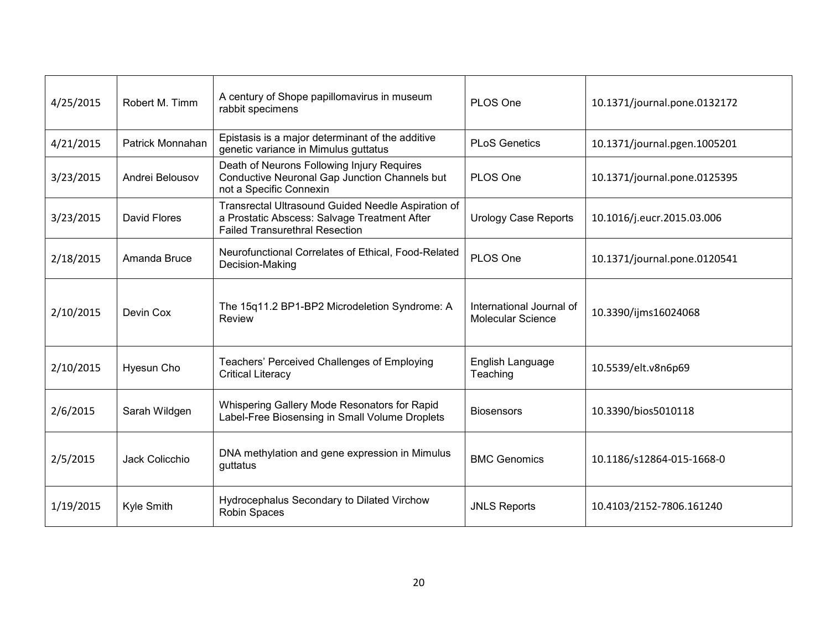| 4/25/2015 | Robert M. Timm      | A century of Shope papillomavirus in museum<br>rabbit specimens                                                                             | PLOS One                                             | 10.1371/journal.pone.0132172 |
|-----------|---------------------|---------------------------------------------------------------------------------------------------------------------------------------------|------------------------------------------------------|------------------------------|
| 4/21/2015 | Patrick Monnahan    | Epistasis is a major determinant of the additive<br>genetic variance in Mimulus guttatus                                                    | <b>PLoS Genetics</b>                                 | 10.1371/journal.pgen.1005201 |
| 3/23/2015 | Andrei Belousov     | Death of Neurons Following Injury Requires<br>Conductive Neuronal Gap Junction Channels but<br>not a Specific Connexin                      | PLOS One                                             | 10.1371/journal.pone.0125395 |
| 3/23/2015 | <b>David Flores</b> | Transrectal Ultrasound Guided Needle Aspiration of<br>a Prostatic Abscess: Salvage Treatment After<br><b>Failed Transurethral Resection</b> | <b>Urology Case Reports</b>                          | 10.1016/j.eucr.2015.03.006   |
| 2/18/2015 | Amanda Bruce        | Neurofunctional Correlates of Ethical, Food-Related<br>Decision-Making                                                                      | PLOS One                                             | 10.1371/journal.pone.0120541 |
| 2/10/2015 | Devin Cox           | The 15q11.2 BP1-BP2 Microdeletion Syndrome: A<br>Review                                                                                     | International Journal of<br><b>Molecular Science</b> | 10.3390/ijms16024068         |
| 2/10/2015 | Hyesun Cho          | Teachers' Perceived Challenges of Employing<br><b>Critical Literacy</b>                                                                     | English Language<br>Teaching                         | 10.5539/elt.v8n6p69          |
| 2/6/2015  | Sarah Wildgen       | Whispering Gallery Mode Resonators for Rapid<br>Label-Free Biosensing in Small Volume Droplets                                              | <b>Biosensors</b>                                    | 10.3390/bios5010118          |
| 2/5/2015  | Jack Colicchio      | DNA methylation and gene expression in Mimulus<br>guttatus                                                                                  | <b>BMC Genomics</b>                                  | 10.1186/s12864-015-1668-0    |
| 1/19/2015 | Kyle Smith          | Hydrocephalus Secondary to Dilated Virchow<br>Robin Spaces                                                                                  | <b>JNLS Reports</b>                                  | 10.4103/2152-7806.161240     |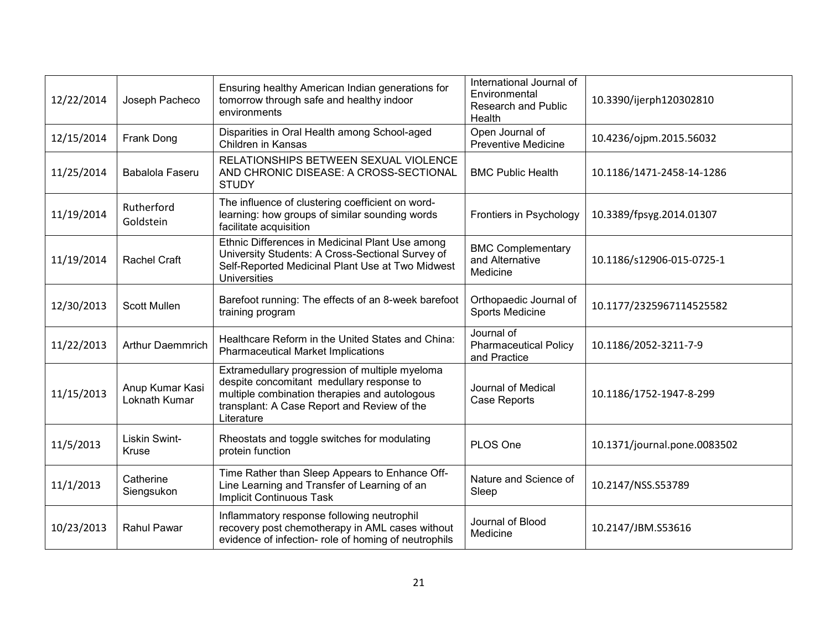| 12/22/2014 | Joseph Pacheco                   | Ensuring healthy American Indian generations for<br>tomorrow through safe and healthy indoor<br>environments                                                                                              | International Journal of<br>Environmental<br><b>Research and Public</b><br>Health | 10.3390/ijerph120302810      |
|------------|----------------------------------|-----------------------------------------------------------------------------------------------------------------------------------------------------------------------------------------------------------|-----------------------------------------------------------------------------------|------------------------------|
| 12/15/2014 | Frank Dong                       | Disparities in Oral Health among School-aged<br><b>Children in Kansas</b>                                                                                                                                 | Open Journal of<br><b>Preventive Medicine</b>                                     | 10.4236/ojpm.2015.56032      |
| 11/25/2014 | Babalola Faseru                  | RELATIONSHIPS BETWEEN SEXUAL VIOLENCE<br>AND CHRONIC DISEASE: A CROSS-SECTIONAL<br><b>STUDY</b>                                                                                                           | <b>BMC Public Health</b>                                                          | 10.1186/1471-2458-14-1286    |
| 11/19/2014 | Rutherford<br>Goldstein          | The influence of clustering coefficient on word-<br>learning: how groups of similar sounding words<br>facilitate acquisition                                                                              | Frontiers in Psychology                                                           | 10.3389/fpsyg.2014.01307     |
| 11/19/2014 | <b>Rachel Craft</b>              | Ethnic Differences in Medicinal Plant Use among<br>University Students: A Cross-Sectional Survey of<br>Self-Reported Medicinal Plant Use at Two Midwest<br><b>Universities</b>                            | <b>BMC Complementary</b><br>and Alternative<br>Medicine                           | 10.1186/s12906-015-0725-1    |
| 12/30/2013 | <b>Scott Mullen</b>              | Barefoot running: The effects of an 8-week barefoot<br>training program                                                                                                                                   | Orthopaedic Journal of<br>Sports Medicine                                         | 10.1177/2325967114525582     |
| 11/22/2013 | <b>Arthur Daemmrich</b>          | Healthcare Reform in the United States and China:<br><b>Pharmaceutical Market Implications</b>                                                                                                            | Journal of<br><b>Pharmaceutical Policy</b><br>and Practice                        | 10.1186/2052-3211-7-9        |
| 11/15/2013 | Anup Kumar Kasi<br>Loknath Kumar | Extramedullary progression of multiple myeloma<br>despite concomitant medullary response to<br>multiple combination therapies and autologous<br>transplant: A Case Report and Review of the<br>Literature | Journal of Medical<br>Case Reports                                                | 10.1186/1752-1947-8-299      |
| 11/5/2013  | <b>Liskin Swint-</b><br>Kruse    | Rheostats and toggle switches for modulating<br>protein function                                                                                                                                          | PLOS One                                                                          | 10.1371/journal.pone.0083502 |
| 11/1/2013  | Catherine<br>Siengsukon          | Time Rather than Sleep Appears to Enhance Off-<br>Line Learning and Transfer of Learning of an<br><b>Implicit Continuous Task</b>                                                                         | Nature and Science of<br>Sleep                                                    | 10.2147/NSS.S53789           |
| 10/23/2013 | <b>Rahul Pawar</b>               | Inflammatory response following neutrophil<br>recovery post chemotherapy in AML cases without<br>evidence of infection- role of homing of neutrophils                                                     | Journal of Blood<br>Medicine                                                      | 10.2147/JBM.S53616           |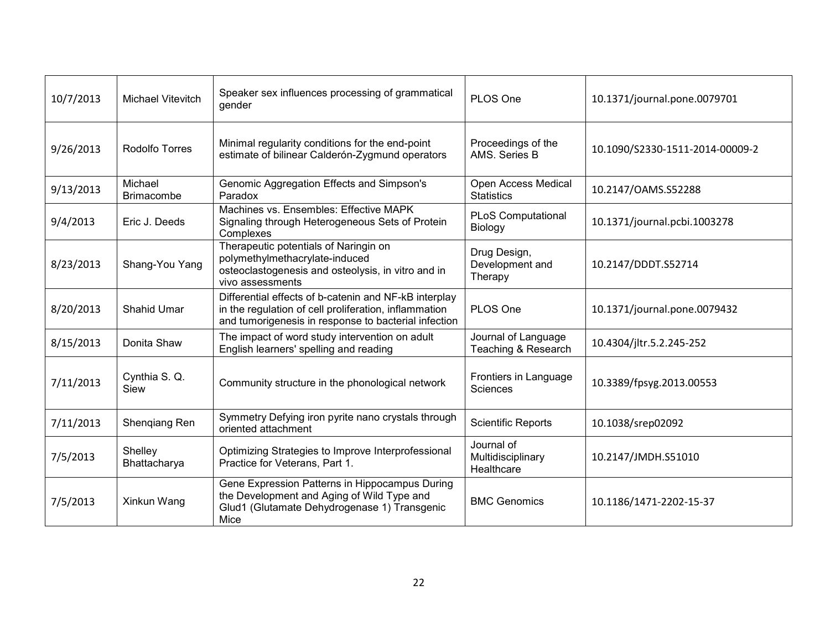| 10/7/2013 | <b>Michael Vitevitch</b>     | Speaker sex influences processing of grammatical<br>gender                                                                                                             | PLOS One                                      | 10.1371/journal.pone.0079701    |
|-----------|------------------------------|------------------------------------------------------------------------------------------------------------------------------------------------------------------------|-----------------------------------------------|---------------------------------|
| 9/26/2013 | Rodolfo Torres               | Minimal regularity conditions for the end-point<br>estimate of bilinear Calderón-Zygmund operators                                                                     | Proceedings of the<br>AMS, Series B           | 10.1090/S2330-1511-2014-00009-2 |
| 9/13/2013 | Michael<br><b>Brimacombe</b> | Genomic Aggregation Effects and Simpson's<br>Paradox                                                                                                                   | Open Access Medical<br><b>Statistics</b>      | 10.2147/OAMS.S52288             |
| 9/4/2013  | Eric J. Deeds                | Machines vs. Ensembles: Effective MAPK<br>Signaling through Heterogeneous Sets of Protein<br>Complexes                                                                 | <b>PLoS Computational</b><br>Biology          | 10.1371/journal.pcbi.1003278    |
| 8/23/2013 | Shang-You Yang               | Therapeutic potentials of Naringin on<br>polymethylmethacrylate-induced<br>osteoclastogenesis and osteolysis, in vitro and in<br>vivo assessments                      | Drug Design,<br>Development and<br>Therapy    | 10.2147/DDDT.S52714             |
| 8/20/2013 | <b>Shahid Umar</b>           | Differential effects of b-catenin and NF-kB interplay<br>in the regulation of cell proliferation, inflammation<br>and tumorigenesis in response to bacterial infection | PLOS One                                      | 10.1371/journal.pone.0079432    |
| 8/15/2013 | Donita Shaw                  | The impact of word study intervention on adult<br>English learners' spelling and reading                                                                               | Journal of Language<br>Teaching & Research    | 10.4304/jltr.5.2.245-252        |
| 7/11/2013 | Cynthia S.Q.<br>Siew         | Community structure in the phonological network                                                                                                                        | Frontiers in Language<br>Sciences             | 10.3389/fpsyg.2013.00553        |
| 7/11/2013 | Shengiang Ren                | Symmetry Defying iron pyrite nano crystals through<br>oriented attachment                                                                                              | <b>Scientific Reports</b>                     | 10.1038/srep02092               |
| 7/5/2013  | Shelley<br>Bhattacharya      | Optimizing Strategies to Improve Interprofessional<br>Practice for Veterans, Part 1.                                                                                   | Journal of<br>Multidisciplinary<br>Healthcare | 10.2147/JMDH.S51010             |
| 7/5/2013  | Xinkun Wang                  | Gene Expression Patterns in Hippocampus During<br>the Development and Aging of Wild Type and<br>Glud1 (Glutamate Dehydrogenase 1) Transgenic<br>Mice                   | <b>BMC Genomics</b>                           | 10.1186/1471-2202-15-37         |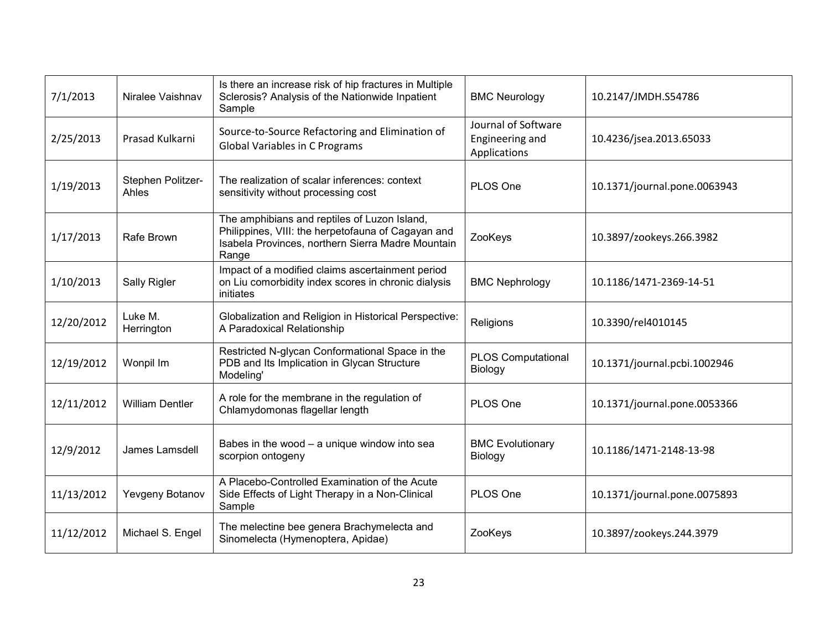| 7/1/2013   | Niralee Vaishnav           | Is there an increase risk of hip fractures in Multiple<br>Sclerosis? Analysis of the Nationwide Inpatient<br>Sample                                              | <b>BMC Neurology</b>                                   | 10.2147/JMDH.S54786          |  |
|------------|----------------------------|------------------------------------------------------------------------------------------------------------------------------------------------------------------|--------------------------------------------------------|------------------------------|--|
| 2/25/2013  | Prasad Kulkarni            | Source-to-Source Refactoring and Elimination of<br><b>Global Variables in C Programs</b>                                                                         | Journal of Software<br>Engineering and<br>Applications | 10.4236/jsea.2013.65033      |  |
| 1/19/2013  | Stephen Politzer-<br>Ahles | The realization of scalar inferences: context<br>sensitivity without processing cost                                                                             | PLOS One                                               | 10.1371/journal.pone.0063943 |  |
| 1/17/2013  | Rafe Brown                 | The amphibians and reptiles of Luzon Island,<br>Philippines, VIII: the herpetofauna of Cagayan and<br>Isabela Provinces, northern Sierra Madre Mountain<br>Range | ZooKeys                                                | 10.3897/zookeys.266.3982     |  |
| 1/10/2013  | Sally Rigler               | Impact of a modified claims ascertainment period<br>on Liu comorbidity index scores in chronic dialysis<br>initiates                                             | <b>BMC Nephrology</b>                                  | 10.1186/1471-2369-14-51      |  |
| 12/20/2012 | Luke M.<br>Herrington      | Globalization and Religion in Historical Perspective:<br>A Paradoxical Relationship                                                                              | Religions                                              | 10.3390/rel4010145           |  |
| 12/19/2012 | Wonpil Im                  | Restricted N-glycan Conformational Space in the<br>PDB and Its Implication in Glycan Structure<br>Modeling'                                                      | <b>PLOS Computational</b><br>Biology                   | 10.1371/journal.pcbi.1002946 |  |
| 12/11/2012 | <b>William Dentler</b>     | A role for the membrane in the regulation of<br>Chlamydomonas flagellar length                                                                                   | PLOS One                                               | 10.1371/journal.pone.0053366 |  |
| 12/9/2012  | James Lamsdell             | Babes in the wood - a unique window into sea<br>scorpion ontogeny                                                                                                | <b>BMC Evolutionary</b><br>Biology                     | 10.1186/1471-2148-13-98      |  |
| 11/13/2012 | Yevgeny Botanov            | A Placebo-Controlled Examination of the Acute<br>Side Effects of Light Therapy in a Non-Clinical<br>Sample                                                       | PLOS One                                               | 10.1371/journal.pone.0075893 |  |
| 11/12/2012 | Michael S. Engel           | The melectine bee genera Brachymelecta and<br>Sinomelecta (Hymenoptera, Apidae)                                                                                  | ZooKeys                                                | 10.3897/zookeys.244.3979     |  |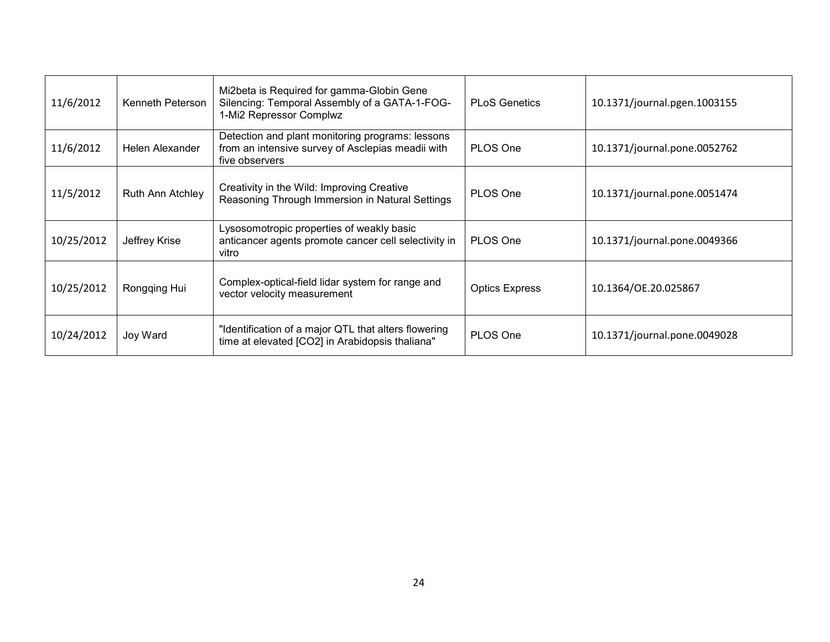| 11/6/2012  | Kenneth Peterson | Mi2beta is Required for gamma-Globin Gene<br>Silencing: Temporal Assembly of a GATA-1-FOG-<br>1-Mi2 Repressor Complwz   | <b>PLoS Genetics</b>  | 10.1371/journal.pgen.1003155 |
|------------|------------------|-------------------------------------------------------------------------------------------------------------------------|-----------------------|------------------------------|
| 11/6/2012  | Helen Alexander  | Detection and plant monitoring programs: lessons<br>from an intensive survey of Asclepias meadii with<br>five observers | PLOS One              | 10.1371/journal.pone.0052762 |
| 11/5/2012  | Ruth Ann Atchley | Creativity in the Wild: Improving Creative<br>Reasoning Through Immersion in Natural Settings                           | PLOS One              | 10.1371/journal.pone.0051474 |
| 10/25/2012 | Jeffrey Krise    | Lysosomotropic properties of weakly basic<br>anticancer agents promote cancer cell selectivity in<br>vitro              | PLOS One              | 10.1371/journal.pone.0049366 |
| 10/25/2012 | Rongqing Hui     | Complex-optical-field lidar system for range and<br>vector velocity measurement                                         | <b>Optics Express</b> | 10.1364/OE.20.025867         |
| 10/24/2012 | Joy Ward         | "Identification of a major QTL that alters flowering<br>time at elevated [CO2] in Arabidopsis thaliana"                 | PLOS One              | 10.1371/journal.pone.0049028 |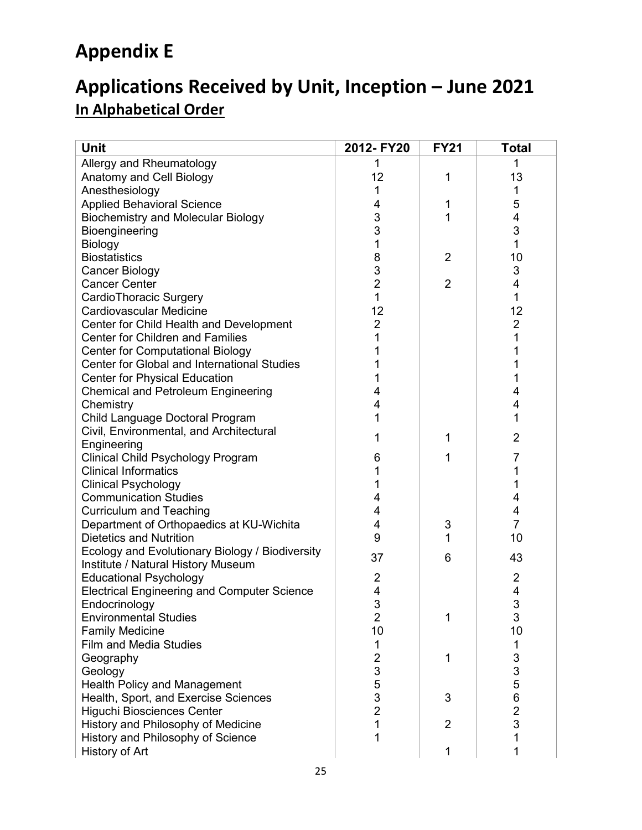# **Appendix E**

# **Applications Received by Unit, Inception – June 2021 In Alphabetical Order**

| <b>Unit</b>                                        | 2012- FY20     | <b>FY21</b>    | <b>Total</b>             |
|----------------------------------------------------|----------------|----------------|--------------------------|
| Allergy and Rheumatology                           | 1              |                | 1                        |
| Anatomy and Cell Biology                           | 12             | 1              | 13                       |
| Anesthesiology                                     | 1              |                | 1                        |
| <b>Applied Behavioral Science</b>                  | 4              | 1              | 5                        |
| <b>Biochemistry and Molecular Biology</b>          | 3              | 1              | 4                        |
| Bioengineering                                     | 3              |                | 3                        |
| Biology                                            | 1              |                | 1                        |
| <b>Biostatistics</b>                               | 8              | $\overline{2}$ | 10                       |
| Cancer Biology                                     | 3              |                | 3                        |
| <b>Cancer Center</b>                               | $\overline{2}$ | $\overline{2}$ | 4                        |
| CardioThoracic Surgery                             | $\mathbf{1}$   |                | 1                        |
| <b>Cardiovascular Medicine</b>                     | 12             |                | 12                       |
| Center for Child Health and Development            | $\overline{2}$ |                | $\overline{2}$           |
| <b>Center for Children and Families</b>            | 1              |                | 1                        |
| <b>Center for Computational Biology</b>            |                |                |                          |
| <b>Center for Global and International Studies</b> |                |                | 1                        |
| <b>Center for Physical Education</b>               |                |                | 1                        |
| <b>Chemical and Petroleum Engineering</b>          | 4              |                | 4                        |
| Chemistry                                          | 4              |                | 4                        |
| Child Language Doctoral Program                    | 1              |                | 1                        |
| Civil, Environmental, and Architectural            |                | 1              | $\overline{2}$           |
| Engineering                                        |                |                |                          |
| Clinical Child Psychology Program                  | 6              | 1              | 7                        |
| <b>Clinical Informatics</b>                        |                |                | 1                        |
| <b>Clinical Psychology</b>                         | 1              |                | 1                        |
| <b>Communication Studies</b>                       | 4              |                | 4                        |
| <b>Curriculum and Teaching</b>                     | 4              |                | 4                        |
| Department of Orthopaedics at KU-Wichita           | 4              | 3              | $\overline{7}$           |
| <b>Dietetics and Nutrition</b>                     | 9              | 1              | 10                       |
| Ecology and Evolutionary Biology / Biodiversity    | 37             | 6              | 43                       |
| Institute / Natural History Museum                 |                |                |                          |
| <b>Educational Psychology</b>                      | 2              |                | $\overline{c}$           |
| <b>Electrical Engineering and Computer Science</b> | 4              |                | $\overline{\mathcal{A}}$ |
| Endocrinology                                      | 3              |                | 3                        |
| <b>Environmental Studies</b>                       | $\overline{2}$ | 1              | 3                        |
| <b>Family Medicine</b>                             | 10             |                | 10                       |
| <b>Film and Media Studies</b>                      | 1              |                | 1                        |
| Geography                                          | 2              | 1              | 3                        |
| Geology                                            | 3              |                | 3                        |
| <b>Health Policy and Management</b>                | 5              |                | 5                        |
| Health, Sport, and Exercise Sciences               | 3              | 3              | 6                        |
| Higuchi Biosciences Center                         | $\overline{2}$ |                | $\frac{2}{3}$            |
| History and Philosophy of Medicine                 | 1              | $\overline{2}$ |                          |
| History and Philosophy of Science                  | 1              |                | 1                        |
| History of Art                                     |                |                | 1                        |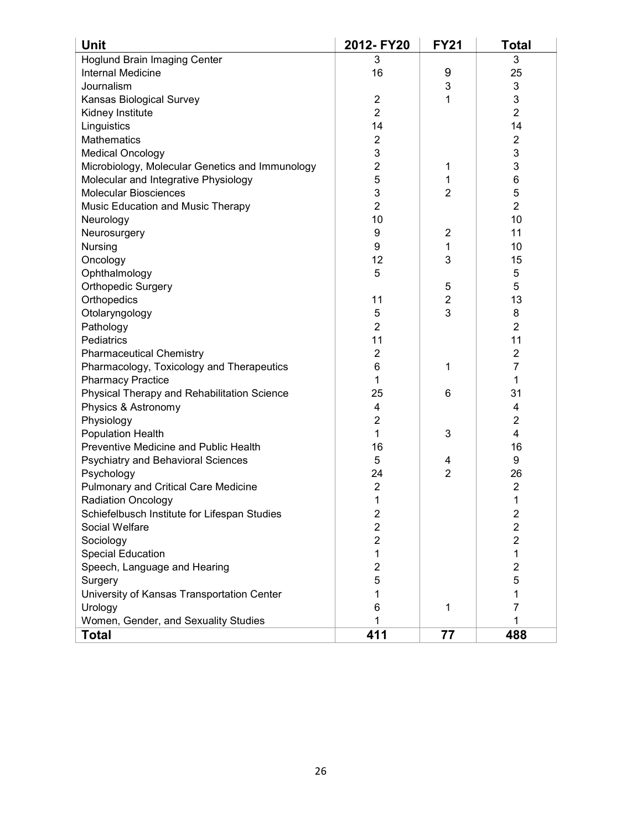| Unit                                            | 2012-FY20      | <b>FY21</b>    | <b>Total</b>   |
|-------------------------------------------------|----------------|----------------|----------------|
| <b>Hoglund Brain Imaging Center</b>             | 3              |                | 3              |
| <b>Internal Medicine</b>                        | 16             | 9              | 25             |
| Journalism                                      |                | 3              | 3              |
| Kansas Biological Survey                        | $\overline{2}$ | 1              | 3              |
| Kidney Institute                                | $\overline{2}$ |                | $\overline{2}$ |
| Linguistics                                     | 14             |                | 14             |
| Mathematics                                     | $\overline{c}$ |                | $\overline{c}$ |
| <b>Medical Oncology</b>                         | 3              |                | 3              |
| Microbiology, Molecular Genetics and Immunology | $\overline{2}$ | 1              | 3              |
| Molecular and Integrative Physiology            | 5              | 1              | 6              |
| <b>Molecular Biosciences</b>                    | 3              | $\overline{2}$ | 5              |
| Music Education and Music Therapy               | $\overline{2}$ |                | $\overline{2}$ |
| Neurology                                       | 10             |                | 10             |
| Neurosurgery                                    | 9              | $\overline{2}$ | 11             |
| Nursing                                         | 9              | 1              | 10             |
| Oncology                                        | 12             | 3              | 15             |
| Ophthalmology                                   | 5              |                | 5              |
| Orthopedic Surgery                              |                | 5              | 5              |
| Orthopedics                                     | 11             | $\overline{2}$ | 13             |
| Otolaryngology                                  | 5              | 3              | 8              |
| Pathology                                       | $\overline{2}$ |                | $\overline{2}$ |
| Pediatrics                                      | 11             |                | 11             |
| <b>Pharmaceutical Chemistry</b>                 | 2              |                | $\overline{c}$ |
| Pharmacology, Toxicology and Therapeutics       | 6              | 1              | 7              |
| <b>Pharmacy Practice</b>                        | 1              |                | 1              |
| Physical Therapy and Rehabilitation Science     | 25             | 6              | 31             |
| Physics & Astronomy                             | 4              |                | 4              |
| Physiology                                      | $\overline{2}$ |                | 2              |
| <b>Population Health</b>                        | 1              | 3              | 4              |
| Preventive Medicine and Public Health           | 16             |                | 16             |
| Psychiatry and Behavioral Sciences              | 5              | 4              | 9              |
| Psychology                                      | 24             | $\overline{2}$ | 26             |
| <b>Pulmonary and Critical Care Medicine</b>     | $\overline{2}$ |                | $\overline{2}$ |
| Radiation Oncology                              | 1              |                | 1              |
| Schiefelbusch Institute for Lifespan Studies    | $\overline{2}$ |                | 2              |
| Social Welfare                                  | 2              |                | $\overline{c}$ |
| Sociology                                       | 2              |                | $\overline{c}$ |
| <b>Special Education</b>                        | 1              |                | 1              |
| Speech, Language and Hearing                    | 2              |                | $\overline{c}$ |
| Surgery                                         | 5              |                | 5              |
| University of Kansas Transportation Center      | 1              |                | 1              |
| Urology                                         | 6              | 1              | 7              |
| Women, Gender, and Sexuality Studies            |                |                |                |
| <b>Total</b>                                    | 411            | 77             | 488            |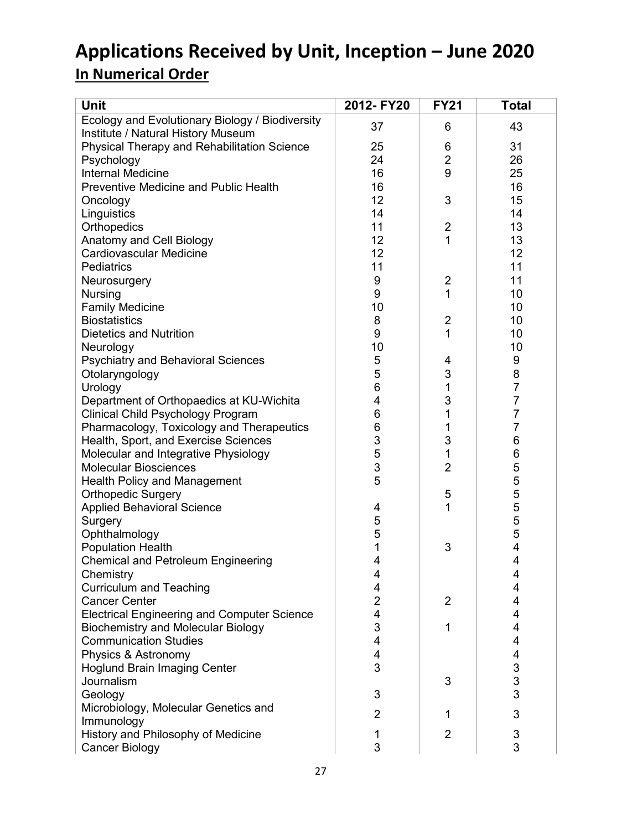# **Applications Received by Unit, Inception – June 2020 In Numerical Order**

|                                                                                        | <b>Total</b> |
|----------------------------------------------------------------------------------------|--------------|
| Ecology and Evolutionary Biology / Biodiversity<br>43<br>37<br>6                       |              |
| Institute / Natural History Museum                                                     |              |
| Physical Therapy and Rehabilitation Science<br>25<br>31<br>6                           |              |
| $\overline{2}$<br>26<br>Psychology<br>24                                               |              |
| 9<br><b>Internal Medicine</b><br>25<br>16                                              |              |
| <b>Preventive Medicine and Public Health</b><br>16<br>16                               |              |
| 12<br>3<br>15<br>Oncology                                                              |              |
| Linguistics<br>14<br>14                                                                |              |
| Orthopedics<br>11<br>$\overline{2}$<br>13                                              |              |
| Anatomy and Cell Biology<br>12<br>1<br>13                                              |              |
| <b>Cardiovascular Medicine</b><br>12<br>12                                             |              |
| 11<br>11<br>Pediatrics                                                                 |              |
| 11<br>9<br>$\overline{2}$<br>Neurosurgery                                              |              |
| 9<br>1<br>Nursing<br>10                                                                |              |
| <b>Family Medicine</b><br>10<br>10                                                     |              |
| 8<br>$\overline{2}$<br>10<br><b>Biostatistics</b>                                      |              |
| 9<br>1<br>10<br><b>Dietetics and Nutrition</b>                                         |              |
| 10<br>10<br>Neurology                                                                  |              |
| <b>Psychiatry and Behavioral Sciences</b><br>5<br>9<br>4                               |              |
| 3<br>8<br>5<br>Otolaryngology                                                          |              |
| $\overline{7}$<br>6<br>1<br>Urology                                                    |              |
| $\overline{7}$<br>3<br>Department of Orthopaedics at KU-Wichita<br>4                   |              |
| 7<br>6<br>1<br>Clinical Child Psychology Program                                       |              |
| 7<br>6<br>Pharmacology, Toxicology and Therapeutics<br>1                               |              |
| 3<br>3<br>6<br>Health, Sport, and Exercise Sciences                                    |              |
| 5<br>1<br>6<br>Molecular and Integrative Physiology                                    |              |
| 3<br>$\overline{2}$<br>5<br><b>Molecular Biosciences</b>                               |              |
| 5<br>5<br><b>Health Policy and Management</b>                                          |              |
| <b>Orthopedic Surgery</b><br>5                                                         |              |
| 1<br><b>Applied Behavioral Science</b><br>4                                            |              |
| 5<br>Surgery                                                                           |              |
| 5555<br>5<br>Ophthalmology                                                             |              |
| 4<br>1<br><b>Population Health</b><br>3                                                |              |
| $\overline{4}$<br><b>Chemical and Petroleum Engineering</b><br>4                       |              |
| Chemistry<br>4<br>4                                                                    |              |
| <b>Curriculum and Teaching</b><br>4<br>4                                               |              |
| <b>Cancer Center</b><br>2<br>$\overline{2}$<br>4                                       |              |
| <b>Electrical Engineering and Computer Science</b><br>4<br>4                           |              |
| 3<br><b>Biochemistry and Molecular Biology</b><br>4<br>1                               |              |
| <b>Communication Studies</b><br>4<br>4                                                 |              |
| 4<br>Physics & Astronomy<br>4                                                          |              |
| 3<br>3<br><b>Hoglund Brain Imaging Center</b>                                          |              |
| 3<br>Journalism<br>3                                                                   |              |
| 3<br>Geology<br>3                                                                      |              |
| Microbiology, Molecular Genetics and                                                   |              |
| 3<br>$\overline{2}$<br>1<br>Immunology                                                 |              |
| $\ensuremath{\mathsf{3}}$<br>History and Philosophy of Medicine<br>$\overline{2}$<br>1 |              |
| 3<br>3<br><b>Cancer Biology</b>                                                        |              |